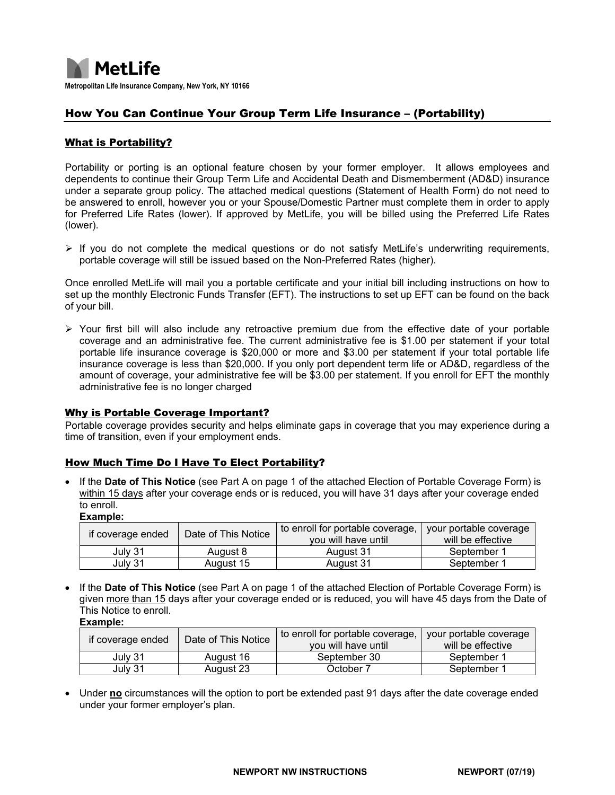

## How You Can Continue Your Group Term Life Insurance – (Portability)

### What is Portability?

Portability or porting is an optional feature chosen by your former employer. It allows employees and dependents to continue their Group Term Life and Accidental Death and Dismemberment (AD&D) insurance under a separate group policy. The attached medical questions (Statement of Health Form) do not need to be answered to enroll, however you or your Spouse/Domestic Partner must complete them in order to apply for Preferred Life Rates (lower). If approved by MetLife, you will be billed using the Preferred Life Rates (lower).

 $\triangleright$  If you do not complete the medical questions or do not satisfy MetLife's underwriting requirements, portable coverage will still be issued based on the Non-Preferred Rates (higher).

Once enrolled MetLife will mail you a portable certificate and your initial bill including instructions on how to set up the monthly Electronic Funds Transfer (EFT). The instructions to set up EFT can be found on the back of your bill.

 $\triangleright$  Your first bill will also include any retroactive premium due from the effective date of your portable coverage and an administrative fee. The current administrative fee is \$1.00 per statement if your total portable life insurance coverage is \$20,000 or more and \$3.00 per statement if your total portable life insurance coverage is less than \$20,000. If you only port dependent term life or AD&D, regardless of the amount of coverage, your administrative fee will be \$3.00 per statement. If you enroll for EFT the monthly administrative fee is no longer charged

#### Why is Portable Coverage Important?

Portable coverage provides security and helps eliminate gaps in coverage that you may experience during a time of transition, even if your employment ends.

#### How Much Time Do I Have To Elect Portability?

• If the **Date of This Notice** (see Part A on page 1 of the attached Election of Portable Coverage Form) is within 15 days after your coverage ends or is reduced, you will have 31 days after your coverage ended to enroll.

| -xample |
|---------|
|---------|

| if coverage ended | Date of This Notice | to enroll for portable coverage,<br>vou will have until | your portable coverage<br>will be effective |
|-------------------|---------------------|---------------------------------------------------------|---------------------------------------------|
| July 31           | August 8            | August 31                                               | September 1                                 |
| July 31           | August 15           | August 31                                               | September 1                                 |

• If the **Date of This Notice** (see Part A on page 1 of the attached Election of Portable Coverage Form) is given more than 15 days after your coverage ended or is reduced, you will have 45 days from the Date of This Notice to enroll. **Example:**

| if coverage ended | Date of This Notice | to enroll for portable coverage, | your portable coverage |
|-------------------|---------------------|----------------------------------|------------------------|
|                   |                     | vou will have until              | will be effective      |
| July 31           | August 16           | September 30                     | September 1            |
| July 31           | August 23           | October 7                        | September 1            |

• Under **no** circumstances will the option to port be extended past 91 days after the date coverage ended under your former employer's plan.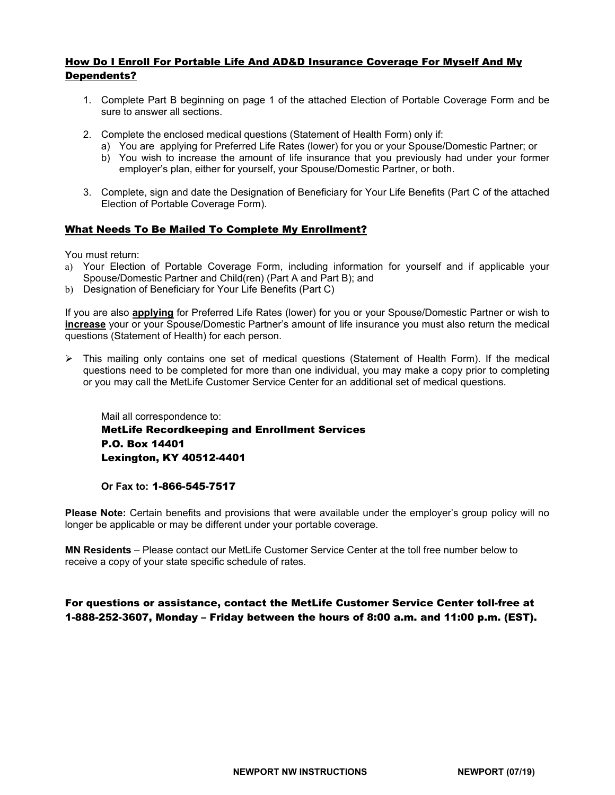### How Do I Enroll For Portable Life And AD&D Insurance Coverage For Myself And My Dependents?

- 1. Complete Part B beginning on page 1 of the attached Election of Portable Coverage Form and be sure to answer all sections.
- 2. Complete the enclosed medical questions (Statement of Health Form) only if:
	- a) You are applying for Preferred Life Rates (lower) for you or your Spouse/Domestic Partner; or
	- b) You wish to increase the amount of life insurance that you previously had under your former employer's plan, either for yourself, your Spouse/Domestic Partner, or both.
- 3. Complete, sign and date the Designation of Beneficiary for Your Life Benefits (Part C of the attached Election of Portable Coverage Form).

#### What Needs To Be Mailed To Complete My Enrollment?

You must return:

- a) Your Election of Portable Coverage Form, including information for yourself and if applicable your Spouse/Domestic Partner and Child(ren) (Part A and Part B); and
- b) Designation of Beneficiary for Your Life Benefits (Part C)

If you are also **applying** for Preferred Life Rates (lower) for you or your Spouse/Domestic Partner or wish to **increase** your or your Spouse/Domestic Partner's amount of life insurance you must also return the medical questions (Statement of Health) for each person.

 $\triangleright$  This mailing only contains one set of medical questions (Statement of Health Form). If the medical questions need to be completed for more than one individual, you may make a copy prior to completing or you may call the MetLife Customer Service Center for an additional set of medical questions.

Mail all correspondence to: MetLife Recordkeeping and Enrollment Services P.O. Box 14401 Lexington, KY 40512-4401

#### **Or Fax to:** 1-866-545-7517

**Please Note:** Certain benefits and provisions that were available under the employer's group policy will no longer be applicable or may be different under your portable coverage.

**MN Residents** – Please contact our MetLife Customer Service Center at the toll free number below to receive a copy of your state specific schedule of rates.

### For questions or assistance, contact the MetLife Customer Service Center toll-free at 1-888-252-3607, Monday – Friday between the hours of 8:00 a.m. and 11:00 p.m. (EST).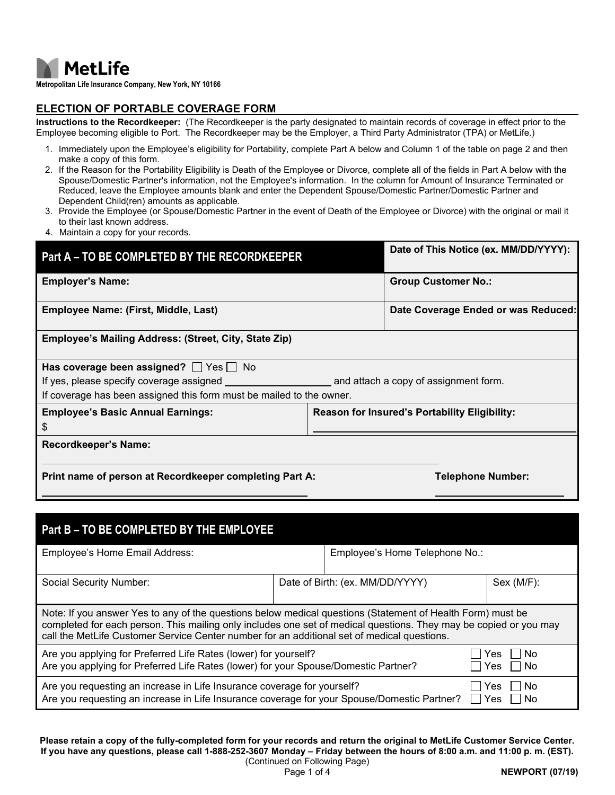

**Metropolitan Life Insurance Company, New York, NY 10166**

### **ELECTION OF PORTABLE COVERAGE FORM**

**Instructions to the Recordkeeper:** (The Recordkeeper is the party designated to maintain records of coverage in effect prior to the Employee becoming eligible to Port. The Recordkeeper may be the Employer, a Third Party Administrator (TPA) or MetLife.)

- 1. Immediately upon the Employee's eligibility for Portability, complete Part A below and Column 1 of the table on page 2 and then make a copy of this form.
- 2. If the Reason for the Portability Eligibility is Death of the Employee or Divorce, complete all of the fields in Part A below with the Spouse/Domestic Partner's information, not the Employee's information. In the column for Amount of Insurance Terminated or Reduced, leave the Employee amounts blank and enter the Dependent Spouse/Domestic Partner/Domestic Partner and Dependent Child(ren) amounts as applicable.
- 3. Provide the Employee (or Spouse/Domestic Partner in the event of Death of the Employee or Divorce) with the original or mail it to their last known address.
- 4. Maintain a copy for your records.

| Part A - TO BE COMPLETED BY THE RECORDKEEPER                         | Date of This Notice (ex. MM/DD/YYYY):         |
|----------------------------------------------------------------------|-----------------------------------------------|
| <b>Employer's Name:</b>                                              | <b>Group Customer No.:</b>                    |
| Employee Name: (First, Middle, Last)                                 | Date Coverage Ended or was Reduced:           |
| Employee's Mailing Address: (Street, City, State Zip)                |                                               |
| Has coverage been assigned? $\Box$ Yes $\Box$ No                     |                                               |
| If yes, please specify coverage assigned                             | and attach a copy of assignment form.         |
| If coverage has been assigned this form must be mailed to the owner. |                                               |
| <b>Employee's Basic Annual Earnings:</b>                             | Reason for Insured's Portability Eligibility: |
| \$                                                                   |                                               |
| <b>Recordkeeper's Name:</b>                                          |                                               |
|                                                                      |                                               |
| Print name of person at Recordkeeper completing Part A:              | <b>Telephone Number:</b>                      |

| Part B - TO BE COMPLETED BY THE EMPLOYEE                                                                                                                                                                                                                                                                                       |                                 |  |  |  |  |  |  |  |  |  |
|--------------------------------------------------------------------------------------------------------------------------------------------------------------------------------------------------------------------------------------------------------------------------------------------------------------------------------|---------------------------------|--|--|--|--|--|--|--|--|--|
| Employee's Home Email Address:                                                                                                                                                                                                                                                                                                 | Employee's Home Telephone No.:  |  |  |  |  |  |  |  |  |  |
| Social Security Number:                                                                                                                                                                                                                                                                                                        | Date of Birth: (ex. MM/DD/YYYY) |  |  |  |  |  |  |  |  |  |
| Note: If you answer Yes to any of the questions below medical questions (Statement of Health Form) must be<br>completed for each person. This mailing only includes one set of medical questions. They may be copied or you may<br>call the MetLife Customer Service Center number for an additional set of medical questions. |                                 |  |  |  |  |  |  |  |  |  |
| Are you applying for Preferred Life Rates (lower) for yourself?<br>Are you applying for Preferred Life Rates (lower) for your Spouse/Domestic Partner?                                                                                                                                                                         | No<br>Yes<br>No<br>Yes          |  |  |  |  |  |  |  |  |  |
| Are you requesting an increase in Life Insurance coverage for yourself?<br>Are you requesting an increase in Life Insurance coverage for your Spouse/Domestic Partner?                                                                                                                                                         | No<br>Yes<br>Yes<br>No          |  |  |  |  |  |  |  |  |  |

**Please retain a copy of the fully-completed form for your records and return the original to MetLife Customer Service Center. If you have any questions, please call 1-888-252-3607 Monday – Friday between the hours of 8:00 a.m. and 11:00 p. m. (EST).**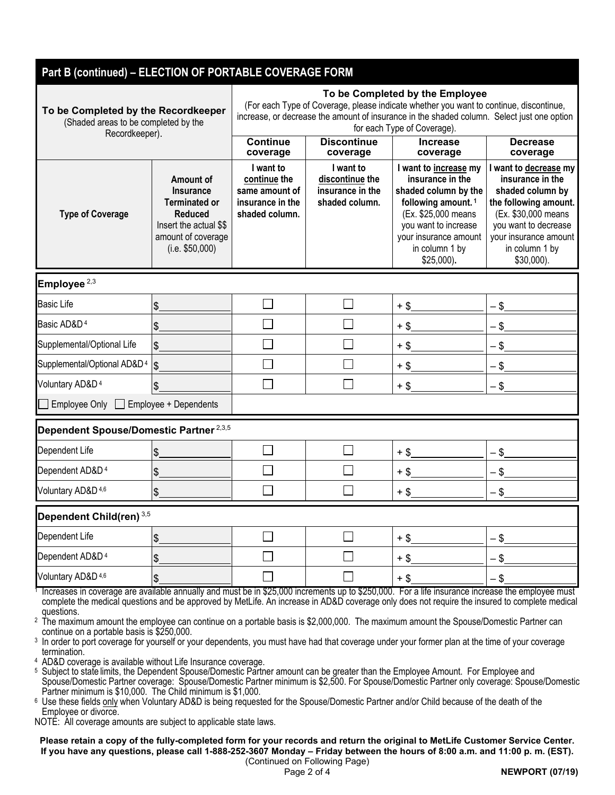| Part B (continued) - ELECTION OF PORTABLE COVERAGE FORM                                                                                                                                                                                                                                           |                       |                                                                                                                                                                                                                                                        |                                                                    |                                                                                                                                                                                                               |                                                                                                                                                                                                  |  |  |  |  |
|---------------------------------------------------------------------------------------------------------------------------------------------------------------------------------------------------------------------------------------------------------------------------------------------------|-----------------------|--------------------------------------------------------------------------------------------------------------------------------------------------------------------------------------------------------------------------------------------------------|--------------------------------------------------------------------|---------------------------------------------------------------------------------------------------------------------------------------------------------------------------------------------------------------|--------------------------------------------------------------------------------------------------------------------------------------------------------------------------------------------------|--|--|--|--|
| To be Completed by the Recordkeeper<br>(Shaded areas to be completed by the<br>Recordkeeper).                                                                                                                                                                                                     |                       | To be Completed by the Employee<br>(For each Type of Coverage, please indicate whether you want to continue, discontinue,<br>increase, or decrease the amount of insurance in the shaded column. Select just one option<br>for each Type of Coverage). |                                                                    |                                                                                                                                                                                                               |                                                                                                                                                                                                  |  |  |  |  |
|                                                                                                                                                                                                                                                                                                   |                       | <b>Continue</b><br><b>Discontinue</b><br>coverage<br>coverage                                                                                                                                                                                          |                                                                    | <b>Increase</b><br>coverage                                                                                                                                                                                   | <b>Decrease</b><br>coverage                                                                                                                                                                      |  |  |  |  |
| Amount of<br><b>Insurance</b><br><b>Terminated or</b><br><b>Type of Coverage</b><br><b>Reduced</b><br>Insert the actual \$\$<br>amount of coverage<br>(i.e. \$50,000)                                                                                                                             |                       | I want to<br>continue the<br>same amount of<br>insurance in the<br>shaded column.                                                                                                                                                                      | I want to<br>discontinue the<br>insurance in the<br>shaded column. | I want to increase my<br>insurance in the<br>shaded column by the<br>following amount. <sup>1</sup><br>(Ex. \$25,000 means<br>you want to increase<br>your insurance amount<br>in column 1 by<br>$$25,000$ ). | I want to decrease my<br>insurance in the<br>shaded column by<br>the following amount.<br>(Ex. \$30,000 means<br>you want to decrease<br>your insurance amount<br>in column 1 by<br>$$30,000$ ). |  |  |  |  |
| Employee $2,3$                                                                                                                                                                                                                                                                                    |                       |                                                                                                                                                                                                                                                        |                                                                    |                                                                                                                                                                                                               |                                                                                                                                                                                                  |  |  |  |  |
| <b>Basic Life</b>                                                                                                                                                                                                                                                                                 | \$                    |                                                                                                                                                                                                                                                        |                                                                    | $+$ \$                                                                                                                                                                                                        | $-$ \$                                                                                                                                                                                           |  |  |  |  |
| Basic AD&D <sup>4</sup>                                                                                                                                                                                                                                                                           | \$                    |                                                                                                                                                                                                                                                        |                                                                    | $+$ \$                                                                                                                                                                                                        | $-$ \$                                                                                                                                                                                           |  |  |  |  |
| Supplemental/Optional Life                                                                                                                                                                                                                                                                        | \$                    |                                                                                                                                                                                                                                                        |                                                                    | $+$ \$                                                                                                                                                                                                        | $-$ \$                                                                                                                                                                                           |  |  |  |  |
| Supplemental/Optional AD&D <sup>4</sup>                                                                                                                                                                                                                                                           | \$                    |                                                                                                                                                                                                                                                        |                                                                    | $+$ \$                                                                                                                                                                                                        | $-$ \$                                                                                                                                                                                           |  |  |  |  |
| Voluntary AD&D <sup>4</sup>                                                                                                                                                                                                                                                                       | \$                    |                                                                                                                                                                                                                                                        |                                                                    | $+$ \$                                                                                                                                                                                                        | $-$ \$                                                                                                                                                                                           |  |  |  |  |
| <b>Employee Only</b>                                                                                                                                                                                                                                                                              | Employee + Dependents |                                                                                                                                                                                                                                                        |                                                                    |                                                                                                                                                                                                               |                                                                                                                                                                                                  |  |  |  |  |
| Dependent Spouse/Domestic Partner <sup>2,3,5</sup>                                                                                                                                                                                                                                                |                       |                                                                                                                                                                                                                                                        |                                                                    |                                                                                                                                                                                                               |                                                                                                                                                                                                  |  |  |  |  |
| Dependent Life                                                                                                                                                                                                                                                                                    | \$                    |                                                                                                                                                                                                                                                        |                                                                    | $+$ \$                                                                                                                                                                                                        | $-$ \$                                                                                                                                                                                           |  |  |  |  |
| Dependent AD&D <sup>4</sup>                                                                                                                                                                                                                                                                       | \$                    |                                                                                                                                                                                                                                                        |                                                                    | +\$                                                                                                                                                                                                           | - \$                                                                                                                                                                                             |  |  |  |  |
| Voluntary AD&D 4,6                                                                                                                                                                                                                                                                                | \$                    |                                                                                                                                                                                                                                                        |                                                                    | $+$ \$                                                                                                                                                                                                        | $-$ \$                                                                                                                                                                                           |  |  |  |  |
| Dependent Child(ren) 3,5                                                                                                                                                                                                                                                                          |                       |                                                                                                                                                                                                                                                        |                                                                    |                                                                                                                                                                                                               |                                                                                                                                                                                                  |  |  |  |  |
| Dependent Life                                                                                                                                                                                                                                                                                    | \$                    |                                                                                                                                                                                                                                                        |                                                                    | $+$ \$                                                                                                                                                                                                        | - \$                                                                                                                                                                                             |  |  |  |  |
| Dependent AD&D <sup>4</sup>                                                                                                                                                                                                                                                                       | \$                    |                                                                                                                                                                                                                                                        |                                                                    | $+$ \$                                                                                                                                                                                                        | $-$ \$                                                                                                                                                                                           |  |  |  |  |
| Voluntary AD&D 4,6                                                                                                                                                                                                                                                                                | \$                    |                                                                                                                                                                                                                                                        |                                                                    | $+$ \$                                                                                                                                                                                                        | $-$ \$                                                                                                                                                                                           |  |  |  |  |
| Increases in coverage are available annually and must be in \$25,000 increments up to \$250,000. For a life insurance increase the employee must<br>complete the medical questions and be approved by MetLife. An increase in AD&D coverage only does not require the insured to complete medical |                       |                                                                                                                                                                                                                                                        |                                                                    |                                                                                                                                                                                                               |                                                                                                                                                                                                  |  |  |  |  |

questions. <sup>2</sup> The maximum amount the employee can continue on a portable basis is \$2,000,000. The maximum amount the Spouse/Domestic Partner can continue on a portable basis is \$250,000.

<sup>3</sup> In order to port coverage for yourself or your dependents, you must have had that coverage under your former plan at the time of your coverage termination.

<sup>4</sup> AD&D coverage is available without Life Insurance coverage.

<sup>5</sup> Subject to state limits, the Dependent Spouse/Domestic Partner amount can be greater than the Employee Amount. For Employee and Spouse/Domestic Partner coverage: Spouse/Domestic Partner minimum is \$2,500. For Spouse/Domestic Partner only coverage: Spouse/Domestic Partner minimum is \$10,000. The Child minimum is \$1,000.

<sup>6</sup> Use these fields only when Voluntary AD&D is being requested for the Spouse/Domestic Partner and/or Child because of the death of the Employee or divorce.

NOTE: All coverage amounts are subject to applicable state laws.

**Please retain a copy of the fully-completed form for your records and return the original to MetLife Customer Service Center. If you have any questions, please call 1-888-252-3607 Monday – Friday between the hours of 8:00 a.m. and 11:00 p. m. (EST).**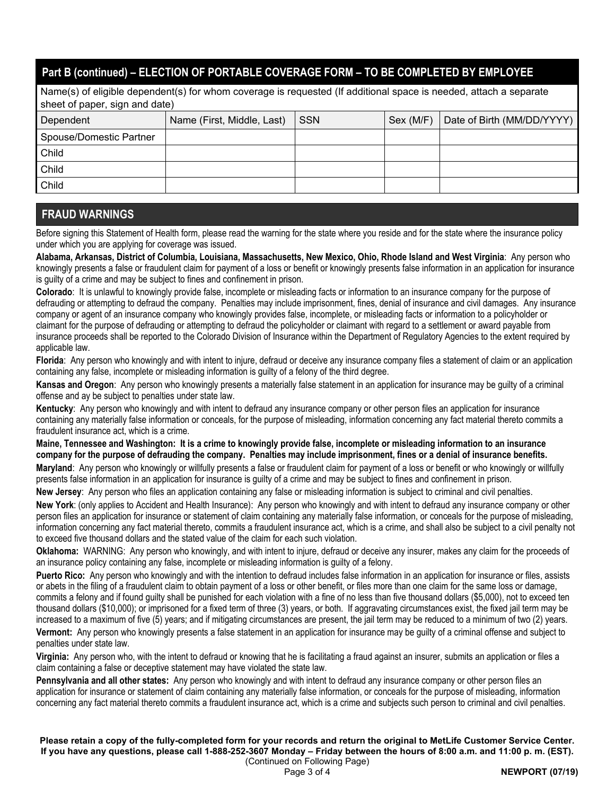# **Part B (continued) – ELECTION OF PORTABLE COVERAGE FORM – TO BE COMPLETED BY EMPLOYEE**

Name(s) of eligible dependent(s) for whom coverage is requested (If additional space is needed, attach a separate sheet of paper, sign and date)

| Dependent               | Name (First, Middle, Last) | <b>SSN</b> | Sex (M/F) | Date of Birth (MM/DD/YYYY) |
|-------------------------|----------------------------|------------|-----------|----------------------------|
| Spouse/Domestic Partner |                            |            |           |                            |
| Child                   |                            |            |           |                            |
| Child                   |                            |            |           |                            |
| Child                   |                            |            |           |                            |

## **FRAUD WARNINGS**

Before signing this Statement of Health form, please read the warning for the state where you reside and for the state where the insurance policy under which you are applying for coverage was issued.

**Alabama, Arkansas, District of Columbia, Louisiana, Massachusetts, New Mexico, Ohio, Rhode Island and West Virginia**: Any person who knowingly presents a false or fraudulent claim for payment of a loss or benefit or knowingly presents false information in an application for insurance is guilty of a crime and may be subject to fines and confinement in prison.

**Colorado**: It is unlawful to knowingly provide false, incomplete or misleading facts or information to an insurance company for the purpose of defrauding or attempting to defraud the company. Penalties may include imprisonment, fines, denial of insurance and civil damages. Any insurance company or agent of an insurance company who knowingly provides false, incomplete, or misleading facts or information to a policyholder or claimant for the purpose of defrauding or attempting to defraud the policyholder or claimant with regard to a settlement or award payable from insurance proceeds shall be reported to the Colorado Division of Insurance within the Department of Regulatory Agencies to the extent required by applicable law.

**Florida**: Any person who knowingly and with intent to injure, defraud or deceive any insurance company files a statement of claim or an application containing any false, incomplete or misleading information is guilty of a felony of the third degree.

**Kansas and Oregon**: Any person who knowingly presents a materially false statement in an application for insurance may be guilty of a criminal offense and ay be subject to penalties under state law.

**Kentucky**: Any person who knowingly and with intent to defraud any insurance company or other person files an application for insurance containing any materially false information or conceals, for the purpose of misleading, information concerning any fact material thereto commits a fraudulent insurance act, which is a crime.

# **Maine, Tennessee and Washington: It is a crime to knowingly provide false, incomplete or misleading information to an insurance company for the purpose of defrauding the company. Penalties may include imprisonment, fines or a denial of insurance benefits.**

**Maryland**: Any person who knowingly or willfully presents a false or fraudulent claim for payment of a loss or benefit or who knowingly or willfully presents false information in an application for insurance is guilty of a crime and may be subject to fines and confinement in prison.

**New Jersey**: Any person who files an application containing any false or misleading information is subject to criminal and civil penalties.

**New York**: (only applies to Accident and Health Insurance): Any person who knowingly and with intent to defraud any insurance company or other person files an application for insurance or statement of claim containing any materially false information, or conceals for the purpose of misleading, information concerning any fact material thereto, commits a fraudulent insurance act, which is a crime, and shall also be subject to a civil penalty not to exceed five thousand dollars and the stated value of the claim for each such violation.

**Oklahoma:** WARNING: Any person who knowingly, and with intent to injure, defraud or deceive any insurer, makes any claim for the proceeds of an insurance policy containing any false, incomplete or misleading information is guilty of a felony.

**Puerto Rico:** Any person who knowingly and with the intention to defraud includes false information in an application for insurance or files, assists or abets in the filing of a fraudulent claim to obtain payment of a loss or other benefit, or files more than one claim for the same loss or damage, commits a felony and if found guilty shall be punished for each violation with a fine of no less than five thousand dollars (\$5,000), not to exceed ten thousand dollars (\$10,000); or imprisoned for a fixed term of three (3) years, or both. If aggravating circumstances exist, the fixed jail term may be increased to a maximum of five (5) years; and if mitigating circumstances are present, the jail term may be reduced to a minimum of two (2) years. **Vermont:** Any person who knowingly presents a false statement in an application for insurance may be guilty of a criminal offense and subject to penalties under state law.

**Virginia:** Any person who, with the intent to defraud or knowing that he is facilitating a fraud against an insurer, submits an application or files a claim containing a false or deceptive statement may have violated the state law.

**Pennsylvania and all other states:** Any person who knowingly and with intent to defraud any insurance company or other person files an application for insurance or statement of claim containing any materially false information, or conceals for the purpose of misleading, information concerning any fact material thereto commits a fraudulent insurance act, which is a crime and subjects such person to criminal and civil penalties.

**Please retain a copy of the fully-completed form for your records and return the original to MetLife Customer Service Center. If you have any questions, please call 1-888-252-3607 Monday – Friday between the hours of 8:00 a.m. and 11:00 p. m. (EST).**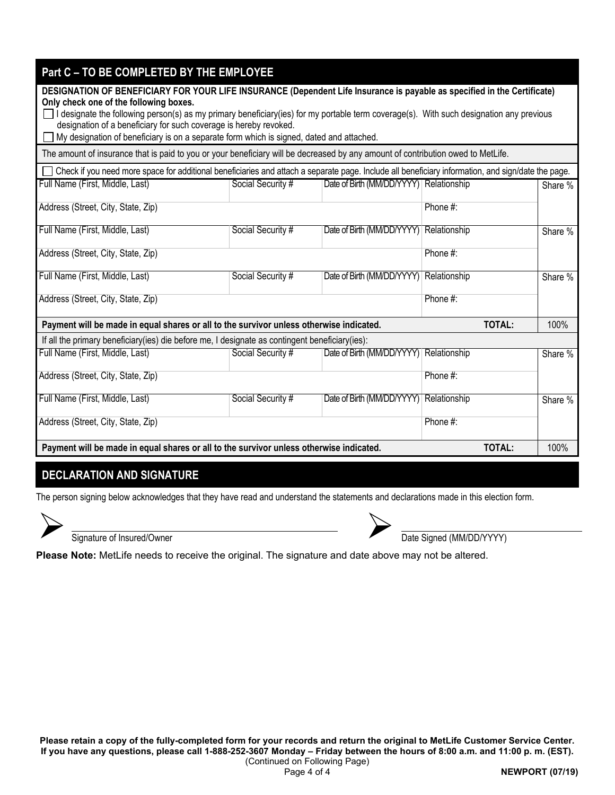| Part C - TO BE COMPLETED BY THE EMPLOYEE                                                                                                                                                                     |                                         |                                         |               |         |  |  |  |  |  |
|--------------------------------------------------------------------------------------------------------------------------------------------------------------------------------------------------------------|-----------------------------------------|-----------------------------------------|---------------|---------|--|--|--|--|--|
| DESIGNATION OF BENEFICIARY FOR YOUR LIFE INSURANCE (Dependent Life Insurance is payable as specified in the Certificate)                                                                                     |                                         |                                         |               |         |  |  |  |  |  |
| Only check one of the following boxes.                                                                                                                                                                       |                                         |                                         |               |         |  |  |  |  |  |
| I designate the following person(s) as my primary beneficiary(ies) for my portable term coverage(s). With such designation any previous<br>designation of a beneficiary for such coverage is hereby revoked. |                                         |                                         |               |         |  |  |  |  |  |
| My designation of beneficiary is on a separate form which is signed, dated and attached.                                                                                                                     |                                         |                                         |               |         |  |  |  |  |  |
| The amount of insurance that is paid to you or your beneficiary will be decreased by any amount of contribution owed to MetLife.                                                                             |                                         |                                         |               |         |  |  |  |  |  |
| Check if you need more space for additional beneficiaries and attach a separate page. Include all beneficiary information, and sign/date the page.                                                           |                                         |                                         |               |         |  |  |  |  |  |
| Full Name (First, Middle, Last)                                                                                                                                                                              | Social Security #                       | Date of Birth (MM/DD/YYYY) Relationship |               | Share % |  |  |  |  |  |
| Address (Street, City, State, Zip)                                                                                                                                                                           |                                         |                                         | Phone #:      |         |  |  |  |  |  |
|                                                                                                                                                                                                              |                                         |                                         |               |         |  |  |  |  |  |
| Full Name (First, Middle, Last)                                                                                                                                                                              | Social Security #                       | Date of Birth (MM/DD/YYYY) Relationship |               | Share % |  |  |  |  |  |
| Address (Street, City, State, Zip)                                                                                                                                                                           |                                         |                                         | Phone #:      |         |  |  |  |  |  |
| Full Name (First, Middle, Last)                                                                                                                                                                              | Social Security #                       | Date of Birth (MM/DD/YYYY) Relationship |               | Share % |  |  |  |  |  |
| Address (Street, City, State, Zip)                                                                                                                                                                           |                                         |                                         | Phone #:      |         |  |  |  |  |  |
| Payment will be made in equal shares or all to the survivor unless otherwise indicated.                                                                                                                      |                                         |                                         | <b>TOTAL:</b> | 100%    |  |  |  |  |  |
| If all the primary beneficiary (ies) die before me, I designate as contingent beneficiary (ies):                                                                                                             |                                         |                                         |               |         |  |  |  |  |  |
| Full Name (First, Middle, Last)                                                                                                                                                                              | Social Security #                       | Date of Birth (MM/DD/YYYY) Relationship |               | Share % |  |  |  |  |  |
| Address (Street, City, State, Zip)                                                                                                                                                                           |                                         |                                         | Phone #:      |         |  |  |  |  |  |
| Full Name (First, Middle, Last)                                                                                                                                                                              | Date of Birth (MM/DD/YYYY) Relationship |                                         | Share %       |         |  |  |  |  |  |
| Address (Street, City, State, Zip)                                                                                                                                                                           | Phone #:                                |                                         |               |         |  |  |  |  |  |
| Payment will be made in equal shares or all to the survivor unless otherwise indicated.                                                                                                                      |                                         |                                         | <b>TOTAL:</b> | 100%    |  |  |  |  |  |
|                                                                                                                                                                                                              |                                         |                                         |               |         |  |  |  |  |  |

# **DECLARATION AND SIGNATURE**

The person signing below acknowledges that they have read and understand the statements and declarations made in this election form.





Signature of Insured/Owner **Date Signature of Insured/Owner Date Signed (MM/DD/YYYY)** 

**Please Note:** MetLife needs to receive the original. The signature and date above may not be altered.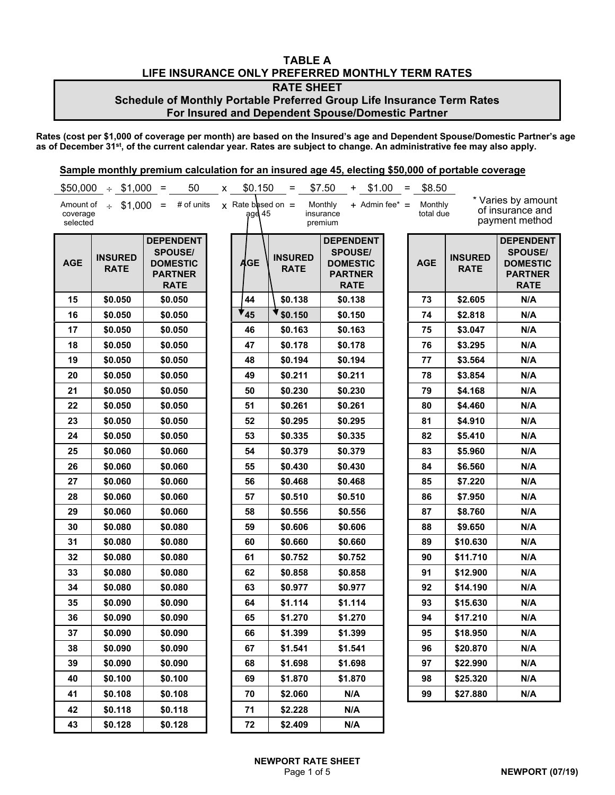### **TABLE A LIFE INSURANCE ONLY PREFERRED MONTHLY TERM RATES RATE SHEET**

# **Schedule of Monthly Portable Preferred Group Life Insurance Term Rates For Insured and Dependent Spouse/Domestic Partner**

**Rates (cost per \$1,000 of coverage per month) are based on the Insured's age and Dependent Spouse/Domestic Partner's age as of December 31st, of the current calendar year. Rates are subject to change. An administrative fee may also apply.**

| \$50,000                          | $\div$ \$1,000 =              | 50                                                                                     | x | \$0.150                          | $=$                           | \$7.50<br>\$1.00<br>$+$                                                                | $=$ | \$8.50               |                               |                                                                                        |
|-----------------------------------|-------------------------------|----------------------------------------------------------------------------------------|---|----------------------------------|-------------------------------|----------------------------------------------------------------------------------------|-----|----------------------|-------------------------------|----------------------------------------------------------------------------------------|
| Amount of<br>coverage<br>selected | $\div$ \$1,000 =              | # of units                                                                             |   | $x$ Rate based on =<br>$qg$ d 45 |                               | $+$ Admin fee* $=$<br>Monthly<br>insurance<br>premium                                  |     | Monthly<br>total due |                               | * Varies by amount<br>of insurance and<br>payment method                               |
| <b>AGE</b>                        | <b>INSURED</b><br><b>RATE</b> | <b>DEPENDENT</b><br><b>SPOUSE/</b><br><b>DOMESTIC</b><br><b>PARTNER</b><br><b>RATE</b> |   | <b>AGE</b>                       | <b>INSURED</b><br><b>RATE</b> | <b>DEPENDENT</b><br><b>SPOUSE/</b><br><b>DOMESTIC</b><br><b>PARTNER</b><br><b>RATE</b> |     | <b>AGE</b>           | <b>INSURED</b><br><b>RATE</b> | <b>DEPENDENT</b><br><b>SPOUSE/</b><br><b>DOMESTIC</b><br><b>PARTNER</b><br><b>RATE</b> |
| 15                                | \$0.050                       | \$0.050                                                                                |   | 44                               | \$0.138                       | \$0.138                                                                                |     | 73                   | \$2.605                       | N/A                                                                                    |
| 16                                | \$0.050                       | \$0.050                                                                                |   | 45                               | \$0.150                       | \$0.150                                                                                |     | 74                   | \$2.818                       | N/A                                                                                    |
| 17                                | \$0.050                       | \$0.050                                                                                |   | 46                               | \$0.163                       | \$0.163                                                                                |     | 75                   | \$3.047                       | N/A                                                                                    |
| 18                                | \$0.050                       | \$0.050                                                                                |   | 47                               | \$0.178                       | \$0.178                                                                                |     | 76                   | \$3.295                       | N/A                                                                                    |
| 19                                | \$0.050                       | \$0.050                                                                                |   | 48                               | \$0.194                       | \$0.194                                                                                |     | 77                   | \$3.564                       | N/A                                                                                    |
| 20                                | \$0.050                       | \$0.050                                                                                |   | 49                               | \$0.211                       | \$0.211                                                                                |     | 78                   | \$3.854                       | N/A                                                                                    |
| 21                                | \$0.050                       | \$0.050                                                                                |   | 50                               | \$0.230                       | \$0.230                                                                                |     | 79                   | \$4.168                       | N/A                                                                                    |
| 22                                | \$0.050                       | \$0.050                                                                                |   | 51                               | \$0.261                       | \$0.261                                                                                |     | 80                   | \$4.460                       | N/A                                                                                    |
| 23                                | \$0.050                       | \$0.050                                                                                |   | 52                               | \$0.295                       | \$0.295                                                                                |     | 81                   | \$4.910                       | N/A                                                                                    |
| 24                                | \$0.050                       | \$0.050                                                                                |   | 53                               | \$0.335                       | \$0.335                                                                                |     | 82                   | \$5.410                       | N/A                                                                                    |
| 25                                | \$0.060                       | \$0.060                                                                                |   | 54                               | \$0.379                       | \$0.379                                                                                |     | 83                   | \$5.960                       | N/A                                                                                    |
| 26                                | \$0.060                       | \$0.060                                                                                |   | 55                               | \$0.430                       | \$0.430                                                                                |     | 84                   | \$6.560                       | N/A                                                                                    |
| 27                                | \$0.060                       | \$0.060                                                                                |   | 56                               | \$0.468                       | \$0.468                                                                                |     | 85                   | \$7.220                       | N/A                                                                                    |
| 28                                | \$0.060                       | \$0.060                                                                                |   | 57                               | \$0.510                       | \$0.510                                                                                |     | 86                   | \$7.950                       | N/A                                                                                    |
| 29                                | \$0.060                       | \$0.060                                                                                |   | 58                               | \$0.556                       | \$0.556                                                                                |     | 87                   | \$8.760                       | N/A                                                                                    |
| 30                                | \$0.080                       | \$0.080                                                                                |   | 59                               | \$0.606                       | \$0.606                                                                                |     | 88                   | \$9.650                       | N/A                                                                                    |
| 31                                | \$0.080                       | \$0.080                                                                                |   | 60                               | \$0.660                       | \$0.660                                                                                |     | 89                   | \$10.630                      | N/A                                                                                    |
| 32                                | \$0.080                       | \$0.080                                                                                |   | 61                               | \$0.752                       | \$0.752                                                                                |     | 90                   | \$11.710                      | N/A                                                                                    |
| 33                                | \$0.080                       | \$0.080                                                                                |   | 62                               | \$0.858                       | \$0.858                                                                                |     | 91                   | \$12.900                      | N/A                                                                                    |
| 34                                | \$0.080                       | \$0.080                                                                                |   | 63                               | \$0.977                       | \$0.977                                                                                |     | 92                   | \$14.190                      | N/A                                                                                    |
| 35                                | \$0.090                       | \$0.090                                                                                |   | 64                               | \$1.114                       | \$1.114                                                                                |     | 93                   | \$15.630                      | N/A                                                                                    |
| 36                                | \$0.090                       | \$0.090                                                                                |   | 65                               | \$1.270                       | \$1.270                                                                                |     | 94                   | \$17.210                      | N/A                                                                                    |
| 37                                | \$0.090                       | \$0.090                                                                                |   | 66                               | \$1.399                       | \$1.399                                                                                |     | 95                   | \$18.950                      | N/A                                                                                    |
| 38                                | \$0.090                       | \$0.090                                                                                |   | 67                               | \$1.541                       | \$1.541                                                                                |     | 96                   | \$20.870                      | N/A                                                                                    |
| 39                                | \$0.090                       | \$0.090                                                                                |   | 68                               | \$1.698                       | \$1.698                                                                                |     | 97                   | \$22.990                      | N/A                                                                                    |
| 40                                | \$0.100                       | \$0.100                                                                                |   | 69                               | \$1.870                       | \$1.870                                                                                |     | 98                   | \$25.320                      | N/A                                                                                    |
| 41                                | \$0.108                       | \$0.108                                                                                |   | 70                               | \$2.060                       | N/A                                                                                    |     | 99                   | \$27.880                      | N/A                                                                                    |
| 42                                | \$0.118                       | \$0.118                                                                                |   | 71                               | \$2.228                       | N/A                                                                                    |     |                      |                               |                                                                                        |
| 43                                | \$0.128                       | \$0.128                                                                                |   | 72                               | \$2.409                       | N/A                                                                                    |     |                      |                               |                                                                                        |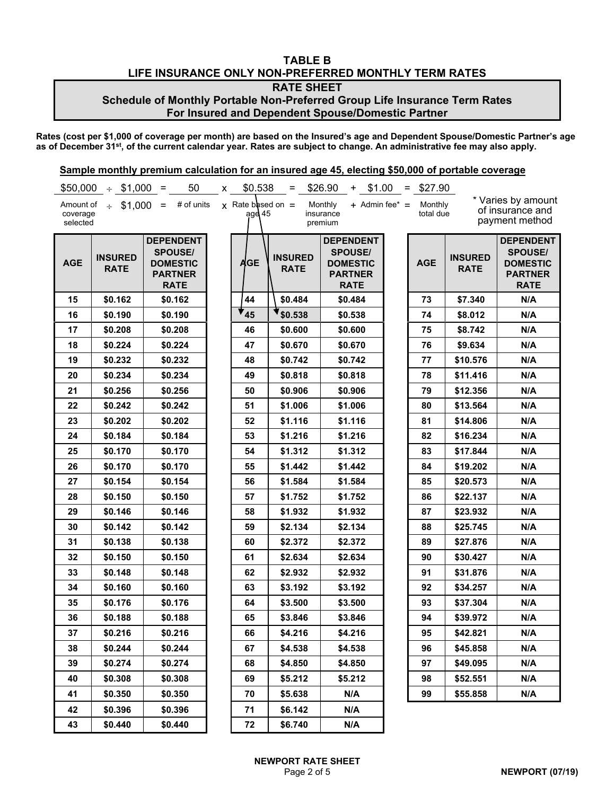### **TABLE B LIFE INSURANCE ONLY NON-PREFERRED MONTHLY TERM RATES RATE SHEET**

# **Schedule of Monthly Portable Non-Preferred Group Life Insurance Term Rates For Insured and Dependent Spouse/Domestic Partner**

**Rates (cost per \$1,000 of coverage per month) are based on the Insured's age and Dependent Spouse/Domestic Partner's age as of December 31st, of the current calendar year. Rates are subject to change. An administrative fee may also apply.**

| \$50,000                          | $\div$ \$1,000 =              | 50                                                                                     | x | \$0.538                         | $=$                           | \$26.90<br>\$1.00<br>$+$                                                               | $=$ \$27.90          |                               |                                                                                        |
|-----------------------------------|-------------------------------|----------------------------------------------------------------------------------------|---|---------------------------------|-------------------------------|----------------------------------------------------------------------------------------|----------------------|-------------------------------|----------------------------------------------------------------------------------------|
| Amount of<br>coverage<br>selected |                               | $\div$ \$1,000 = # of units                                                            |   | $x$ Rate based on =<br>agd $45$ |                               | $+$ Admin fee* $=$<br>Monthly<br>insurance<br>premium                                  | Monthly<br>total due |                               | * Varies by amount<br>of insurance and<br>payment method                               |
| <b>AGE</b>                        | <b>INSURED</b><br><b>RATE</b> | <b>DEPENDENT</b><br><b>SPOUSE/</b><br><b>DOMESTIC</b><br><b>PARTNER</b><br><b>RATE</b> |   | <b>AGE</b>                      | <b>INSURED</b><br><b>RATE</b> | <b>DEPENDENT</b><br><b>SPOUSE/</b><br><b>DOMESTIC</b><br><b>PARTNER</b><br><b>RATE</b> | <b>AGE</b>           | <b>INSURED</b><br><b>RATE</b> | <b>DEPENDENT</b><br><b>SPOUSE/</b><br><b>DOMESTIC</b><br><b>PARTNER</b><br><b>RATE</b> |
| 15                                | \$0.162                       | \$0.162                                                                                |   | 44                              | \$0.484                       | \$0.484                                                                                | 73                   | \$7.340                       | N/A                                                                                    |
| 16                                | \$0.190                       | \$0.190                                                                                |   | $\mathbf{v}_{45}$               | \$0.538                       | \$0.538                                                                                | 74                   | \$8.012                       | N/A                                                                                    |
| 17                                | \$0.208                       | \$0.208                                                                                |   | 46                              | \$0.600                       | \$0.600                                                                                | 75                   | \$8.742                       | N/A                                                                                    |
| 18                                | \$0.224                       | \$0.224                                                                                |   | 47                              | \$0.670                       | \$0.670                                                                                | 76                   | \$9.634                       | N/A                                                                                    |
| 19                                | \$0.232                       | \$0.232                                                                                |   | 48                              | \$0.742                       | \$0.742                                                                                | 77                   | \$10.576                      | N/A                                                                                    |
| 20                                | \$0.234                       | \$0.234                                                                                |   | 49                              | \$0.818                       | \$0.818                                                                                | 78                   | \$11.416                      | N/A                                                                                    |
| 21                                | \$0.256                       | \$0.256                                                                                |   | 50                              | \$0.906                       | \$0.906                                                                                | 79                   | \$12.356                      | N/A                                                                                    |
| 22                                | \$0.242                       | \$0.242                                                                                |   | 51                              | \$1.006                       | \$1.006                                                                                | 80                   | \$13.564                      | N/A                                                                                    |
| 23                                | \$0.202                       | \$0.202                                                                                |   | 52                              | \$1.116                       | \$1.116                                                                                | 81                   | \$14.806                      | N/A                                                                                    |
| 24                                | \$0.184                       | \$0.184                                                                                |   | 53                              | \$1.216                       | \$1.216                                                                                | 82                   | \$16.234                      | N/A                                                                                    |
| 25                                | \$0.170                       | \$0.170                                                                                |   | 54                              | \$1.312                       | \$1.312                                                                                | 83                   | \$17.844                      | N/A                                                                                    |
| 26                                | \$0.170                       | \$0.170                                                                                |   | 55                              | \$1.442                       | \$1.442                                                                                | 84                   | \$19.202                      | N/A                                                                                    |
| 27                                | \$0.154                       | \$0.154                                                                                |   | 56                              | \$1.584                       | \$1.584                                                                                | 85                   | \$20.573                      | N/A                                                                                    |
| 28                                | \$0.150                       | \$0.150                                                                                |   | 57                              | \$1.752                       | \$1.752                                                                                | 86                   | \$22.137                      | N/A                                                                                    |
| 29                                | \$0.146                       | \$0.146                                                                                |   | 58                              | \$1.932                       | \$1.932                                                                                | 87                   | \$23.932                      | N/A                                                                                    |
| 30                                | \$0.142                       | \$0.142                                                                                |   | 59                              | \$2.134                       | \$2.134                                                                                | 88                   | \$25.745                      | N/A                                                                                    |
| 31                                | \$0.138                       | \$0.138                                                                                |   | 60                              | \$2.372                       | \$2.372                                                                                | 89                   | \$27.876                      | N/A                                                                                    |
| 32                                | \$0.150                       | \$0.150                                                                                |   | 61                              | \$2.634                       | \$2.634                                                                                | 90                   | \$30.427                      | N/A                                                                                    |
| 33                                | \$0.148                       | \$0.148                                                                                |   | 62                              | \$2.932                       | \$2.932                                                                                | 91                   | \$31.876                      | N/A                                                                                    |
| 34                                | \$0.160                       | \$0.160                                                                                |   | 63                              | \$3.192                       | \$3.192                                                                                | 92                   | \$34.257                      | N/A                                                                                    |
| 35                                | \$0.176                       | \$0.176                                                                                |   | 64                              | \$3.500                       | \$3.500                                                                                | 93                   | \$37.304                      | N/A                                                                                    |
| 36                                | \$0.188                       | \$0.188                                                                                |   | 65                              | \$3.846                       | \$3.846                                                                                | 94                   | \$39.972                      | N/A                                                                                    |
| 37                                | \$0.216                       | \$0.216                                                                                |   | 66                              | \$4.216                       | \$4.216                                                                                | 95                   | \$42.821                      | N/A                                                                                    |
| 38                                | \$0.244                       | \$0.244                                                                                |   | 67                              | \$4.538                       | \$4.538                                                                                | 96                   | \$45.858                      | N/A                                                                                    |
| 39                                | \$0.274                       | \$0.274                                                                                |   | 68                              | \$4.850                       | \$4.850                                                                                | 97                   | \$49.095                      | N/A                                                                                    |
| 40                                | \$0.308                       | \$0.308                                                                                |   | 69                              | \$5.212                       | \$5.212                                                                                | 98                   | \$52.551                      | N/A                                                                                    |
| 41                                | \$0.350                       | \$0.350                                                                                |   | 70                              | \$5.638                       | N/A                                                                                    | 99                   | \$55.858                      | N/A                                                                                    |
| 42                                | \$0.396                       | \$0.396                                                                                |   | 71                              | \$6.142                       | N/A                                                                                    |                      |                               |                                                                                        |
| 43                                | \$0.440                       | \$0.440                                                                                |   | 72                              | \$6.740                       | N/A                                                                                    |                      |                               |                                                                                        |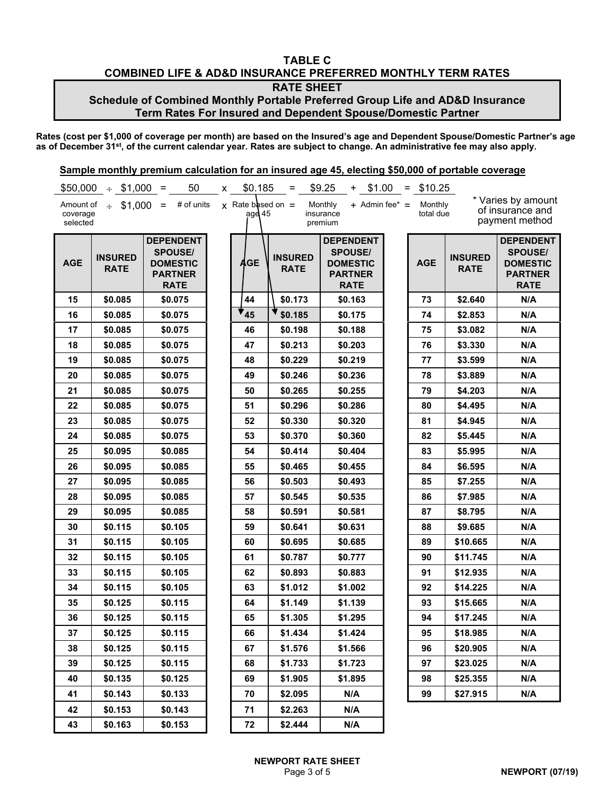### **TABLE C COMBINED LIFE & AD&D INSURANCE PREFERRED MONTHLY TERM RATES RATE SHEET Schedule of Combined Monthly Portable Preferred Group Life and AD&D Insurance**

**Term Rates For Insured and Dependent Spouse/Domestic Partner**

**Rates (cost per \$1,000 of coverage per month) are based on the Insured's age and Dependent Spouse/Domestic Partner's age as of December 31st, of the current calendar year. Rates are subject to change. An administrative fee may also apply.**

| \$50,000                          | $\div$ \$1,000 =              | 50                                                                                     | x | \$0.185                           | $=$                           | \$9.25<br>\$1.00<br>$+$                                                                | $=$ \$10.25          |                               |                                                                                        |
|-----------------------------------|-------------------------------|----------------------------------------------------------------------------------------|---|-----------------------------------|-------------------------------|----------------------------------------------------------------------------------------|----------------------|-------------------------------|----------------------------------------------------------------------------------------|
| Amount of<br>coverage<br>selected |                               | $\div$ \$1,000 = # of units                                                            |   | $x$ Rate based on $=$<br>age $45$ |                               | $+$ Admin fee* $=$<br>Monthly<br>insurance<br>premium                                  | Monthly<br>total due |                               | * Varies by amount<br>of insurance and<br>payment method                               |
| <b>AGE</b>                        | <b>INSURED</b><br><b>RATE</b> | <b>DEPENDENT</b><br><b>SPOUSE/</b><br><b>DOMESTIC</b><br><b>PARTNER</b><br><b>RATE</b> |   | <b>AGE</b>                        | <b>INSURED</b><br><b>RATE</b> | <b>DEPENDENT</b><br><b>SPOUSE/</b><br><b>DOMESTIC</b><br><b>PARTNER</b><br><b>RATE</b> | <b>AGE</b>           | <b>INSURED</b><br><b>RATE</b> | <b>DEPENDENT</b><br><b>SPOUSE/</b><br><b>DOMESTIC</b><br><b>PARTNER</b><br><b>RATE</b> |
| 15                                | \$0.085                       | \$0.075                                                                                |   | 44                                | \$0.173                       | \$0.163                                                                                | 73                   | \$2.640                       | N/A                                                                                    |
| 16                                | \$0.085                       | \$0.075                                                                                |   | $\mathbf{v}_{45}$                 | \$0.185                       | \$0.175                                                                                | 74                   | \$2.853                       | N/A                                                                                    |
| 17                                | \$0.085                       | \$0.075                                                                                |   | 46                                | \$0.198                       | \$0.188                                                                                | 75                   | \$3.082                       | N/A                                                                                    |
| 18                                | \$0.085                       | \$0.075                                                                                |   | 47                                | \$0.213                       | \$0.203                                                                                | 76                   | \$3.330                       | N/A                                                                                    |
| 19                                | \$0.085                       | \$0.075                                                                                |   | 48                                | \$0.229                       | \$0.219                                                                                | 77                   | \$3.599                       | N/A                                                                                    |
| 20                                | \$0.085                       | \$0.075                                                                                |   | 49                                | \$0.246                       | \$0.236                                                                                | 78                   | \$3.889                       | N/A                                                                                    |
| 21                                | \$0.085                       | \$0.075                                                                                |   | 50                                | \$0.265                       | \$0.255                                                                                | 79                   | \$4.203                       | N/A                                                                                    |
| 22                                | \$0.085                       | \$0.075                                                                                |   | 51                                | \$0.296                       | \$0.286                                                                                | 80                   | \$4.495                       | N/A                                                                                    |
| 23                                | \$0.085                       | \$0.075                                                                                |   | 52                                | \$0.330                       | \$0.320                                                                                | 81                   | \$4.945                       | N/A                                                                                    |
| 24                                | \$0.085                       | \$0.075                                                                                |   | 53                                | \$0.370                       | \$0.360                                                                                | 82                   | \$5.445                       | N/A                                                                                    |
| 25                                | \$0.095                       | \$0.085                                                                                |   | 54                                | \$0.414                       | \$0.404                                                                                | 83                   | \$5.995                       | N/A                                                                                    |
| 26                                | \$0.095                       | \$0.085                                                                                |   | 55                                | \$0.465                       | \$0.455                                                                                | 84                   | \$6.595                       | N/A                                                                                    |
| 27                                | \$0.095                       | \$0.085                                                                                |   | 56                                | \$0.503                       | \$0.493                                                                                | 85                   | \$7.255                       | N/A                                                                                    |
| 28                                | \$0.095                       | \$0.085                                                                                |   | 57                                | \$0.545                       | \$0.535                                                                                | 86                   | \$7.985                       | N/A                                                                                    |
| 29                                | \$0.095                       | \$0.085                                                                                |   | 58                                | \$0.591                       | \$0.581                                                                                | 87                   | \$8.795                       | N/A                                                                                    |
| 30                                | \$0.115                       | \$0.105                                                                                |   | 59                                | \$0.641                       | \$0.631                                                                                | 88                   | \$9.685                       | N/A                                                                                    |
| 31                                | \$0.115                       | \$0.105                                                                                |   | 60                                | \$0.695                       | \$0.685                                                                                | 89                   | \$10.665                      | N/A                                                                                    |
| 32                                | \$0.115                       | \$0.105                                                                                |   | 61                                | \$0.787                       | \$0.777                                                                                | 90                   | \$11.745                      | N/A                                                                                    |
| 33                                | \$0.115                       | \$0.105                                                                                |   | 62                                | \$0.893                       | \$0.883                                                                                | 91                   | \$12.935                      | N/A                                                                                    |
| 34                                | \$0.115                       | \$0.105                                                                                |   | 63                                | \$1.012                       | \$1.002                                                                                | 92                   | \$14.225                      | N/A                                                                                    |
| 35                                | \$0.125                       | \$0.115                                                                                |   | 64                                | \$1.149                       | \$1.139                                                                                | 93                   | \$15.665                      | N/A                                                                                    |
| 36                                | \$0.125                       | \$0.115                                                                                |   | 65                                | \$1.305                       | \$1.295                                                                                | 94                   | \$17.245                      | N/A                                                                                    |
| 37                                | \$0.125                       | \$0.115                                                                                |   | 66                                | \$1.434                       | \$1.424                                                                                | 95                   | \$18.985                      | N/A                                                                                    |
| 38                                | \$0.125                       | \$0.115                                                                                |   | 67                                | \$1.576                       | \$1.566                                                                                | 96                   | \$20.905                      | N/A                                                                                    |
| 39                                | \$0.125                       | \$0.115                                                                                |   | 68                                | \$1.733                       | \$1.723                                                                                | 97                   | \$23.025                      | N/A                                                                                    |
| 40                                | \$0.135                       | \$0.125                                                                                |   | 69                                | \$1.905                       | \$1.895                                                                                | 98                   | \$25.355                      | N/A                                                                                    |
| 41                                | \$0.143                       | \$0.133                                                                                |   | 70                                | \$2.095                       | N/A                                                                                    | 99                   | \$27.915                      | N/A                                                                                    |
| 42                                | \$0.153                       | \$0.143                                                                                |   | 71                                | \$2.263                       | N/A                                                                                    |                      |                               |                                                                                        |
| 43                                | \$0.163                       | \$0.153                                                                                |   | 72                                | \$2.444                       | N/A                                                                                    |                      |                               |                                                                                        |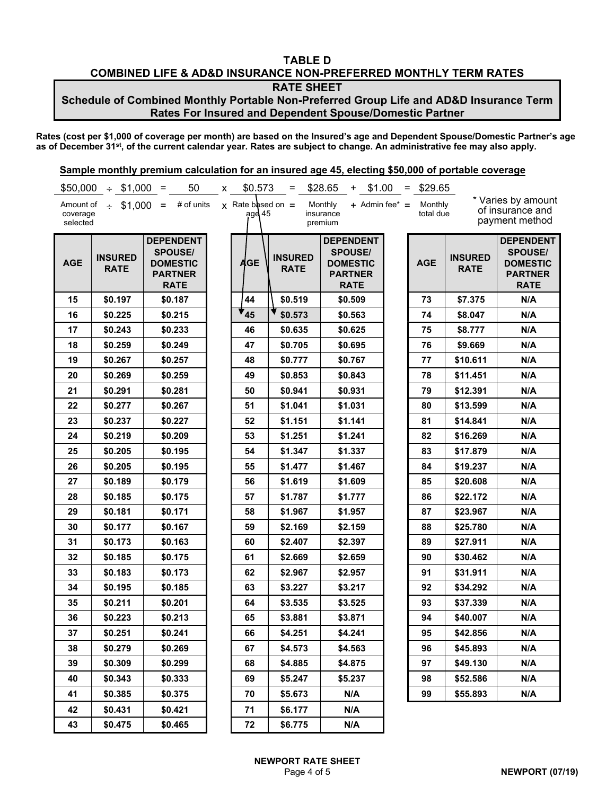## **TABLE D COMBINED LIFE & AD&D INSURANCE NON-PREFERRED MONTHLY TERM RATES**

**RATE SHEET**

### **Schedule of Combined Monthly Portable Non-Preferred Group Life and AD&D Insurance Term Rates For Insured and Dependent Spouse/Domestic Partner**

**Rates (cost per \$1,000 of coverage per month) are based on the Insured's age and Dependent Spouse/Domestic Partner's age as of December 31st, of the current calendar year. Rates are subject to change. An administrative fee may also apply.**

|                                   | $$50,000 \div $1,000$         | 50<br>$\equiv$                                                                         | X. | \$0.573                         | $=$                           | \$28.65<br>\$1.00<br>+                                                                 | $\equiv$ | \$29.65              |                               |                                                                                        |
|-----------------------------------|-------------------------------|----------------------------------------------------------------------------------------|----|---------------------------------|-------------------------------|----------------------------------------------------------------------------------------|----------|----------------------|-------------------------------|----------------------------------------------------------------------------------------|
| Amount of<br>coverage<br>selected |                               | $\div$ \$1,000 = # of units                                                            |    | $x$ Rate based on =<br>age $45$ |                               | Monthly<br>$+$ Admin fee* $=$<br>insurance<br>premium                                  |          | Monthly<br>total due |                               | * Varies by amount<br>of insurance and<br>payment method                               |
| <b>AGE</b>                        | <b>INSURED</b><br><b>RATE</b> | <b>DEPENDENT</b><br><b>SPOUSE/</b><br><b>DOMESTIC</b><br><b>PARTNER</b><br><b>RATE</b> |    | <b>AGE</b>                      | <b>INSURED</b><br><b>RATE</b> | <b>DEPENDENT</b><br><b>SPOUSE/</b><br><b>DOMESTIC</b><br><b>PARTNER</b><br><b>RATE</b> |          | <b>AGE</b>           | <b>INSURED</b><br><b>RATE</b> | <b>DEPENDENT</b><br><b>SPOUSE/</b><br><b>DOMESTIC</b><br><b>PARTNER</b><br><b>RATE</b> |
| 15                                | \$0.197                       | \$0.187                                                                                |    | 44                              | \$0.519                       | \$0.509                                                                                |          | 73                   | \$7.375                       | N/A                                                                                    |
| 16                                | \$0.225                       | \$0.215                                                                                |    | $\mathbf{r}_{45}$               | \$0.573                       | \$0.563                                                                                |          | 74                   | \$8.047                       | N/A                                                                                    |
| 17                                | \$0.243                       | \$0.233                                                                                |    | 46                              | \$0.635                       | \$0.625                                                                                |          | 75                   | \$8.777                       | N/A                                                                                    |
| 18                                | \$0.259                       | \$0.249                                                                                |    | 47                              | \$0.705                       | \$0.695                                                                                |          | 76                   | \$9.669                       | N/A                                                                                    |
| 19                                | \$0.267                       | \$0.257                                                                                |    | 48                              | \$0.777                       | \$0.767                                                                                |          | 77                   | \$10.611                      | N/A                                                                                    |
| 20                                | \$0.269                       | \$0.259                                                                                |    | 49                              | \$0.853                       | \$0.843                                                                                |          | 78                   | \$11.451                      | N/A                                                                                    |
| 21                                | \$0.291                       | \$0.281                                                                                |    | 50                              | \$0.941                       | \$0.931                                                                                |          | 79                   | \$12.391                      | N/A                                                                                    |
| 22                                | \$0.277                       | \$0.267                                                                                |    | 51                              | \$1.041                       | \$1.031                                                                                |          | 80                   | \$13.599                      | N/A                                                                                    |
| 23                                | \$0.237                       | \$0.227                                                                                |    | 52                              | \$1.151                       | \$1.141                                                                                |          | 81                   | \$14.841                      | N/A                                                                                    |
| 24                                | \$0.219                       | \$0.209                                                                                |    | 53                              | \$1.251                       | \$1.241                                                                                |          | 82                   | \$16.269                      | N/A                                                                                    |
| 25                                | \$0.205                       | \$0.195                                                                                |    | 54                              | \$1.347                       | \$1.337                                                                                |          | 83                   | \$17.879                      | N/A                                                                                    |
| 26                                | \$0.205                       | \$0.195                                                                                |    | 55                              | \$1.477                       | \$1.467                                                                                |          | 84                   | \$19.237                      | N/A                                                                                    |
| 27                                | \$0.189                       | \$0.179                                                                                |    | 56                              | \$1.619                       | \$1.609                                                                                |          | 85                   | \$20.608                      | N/A                                                                                    |
| 28                                | \$0.185                       | \$0.175                                                                                |    | 57                              | \$1.787                       | \$1.777                                                                                |          | 86                   | \$22.172                      | N/A                                                                                    |
| 29                                | \$0.181                       | \$0.171                                                                                |    | 58                              | \$1.967                       | \$1.957                                                                                |          | 87                   | \$23.967                      | N/A                                                                                    |
| 30                                | \$0.177                       | \$0.167                                                                                |    | 59                              | \$2.169                       | \$2.159                                                                                |          | 88                   | \$25.780                      | N/A                                                                                    |
| 31                                | \$0.173                       | \$0.163                                                                                |    | 60                              | \$2.407                       | \$2.397                                                                                |          | 89                   | \$27.911                      | N/A                                                                                    |
| 32                                | \$0.185                       | \$0.175                                                                                |    | 61                              | \$2.669                       | \$2.659                                                                                |          | 90                   | \$30.462                      | N/A                                                                                    |
| 33                                | \$0.183                       | \$0.173                                                                                |    | 62                              | \$2.967                       | \$2.957                                                                                |          | 91                   | \$31.911                      | N/A                                                                                    |
| 34                                | \$0.195                       | \$0.185                                                                                |    | 63                              | \$3.227                       | \$3.217                                                                                |          | 92                   | \$34.292                      | N/A                                                                                    |
| 35                                | \$0.211                       | \$0.201                                                                                |    | 64                              | \$3.535                       | \$3.525                                                                                |          | 93                   | \$37.339                      | N/A                                                                                    |
| 36                                | \$0.223                       | \$0.213                                                                                |    | 65                              | \$3.881                       | \$3.871                                                                                |          | 94                   | \$40.007                      | N/A                                                                                    |
| 37                                | \$0.251                       | \$0.241                                                                                |    | 66                              | \$4.251                       | \$4.241                                                                                |          | 95                   | \$42.856                      | N/A                                                                                    |
| 38                                | \$0.279                       | \$0.269                                                                                |    | 67                              | \$4.573                       | \$4.563                                                                                |          | 96                   | \$45.893                      | N/A                                                                                    |
| 39                                | \$0.309                       | \$0.299                                                                                |    | 68                              | \$4.885                       | \$4.875                                                                                |          | 97                   | \$49.130                      | N/A                                                                                    |
| 40                                | \$0.343                       | \$0.333                                                                                |    | 69                              | \$5.247                       | \$5.237                                                                                |          | 98                   | \$52.586                      | N/A                                                                                    |
| 41                                | \$0.385                       | \$0.375                                                                                |    | 70                              | \$5.673                       | N/A                                                                                    |          | 99                   | \$55,893                      | N/A                                                                                    |
| 42                                | \$0.431                       | \$0.421                                                                                |    | 71                              | \$6.177                       | N/A                                                                                    |          |                      |                               |                                                                                        |
| 43                                | \$0.475                       | \$0.465                                                                                |    | 72                              | \$6.775                       | N/A                                                                                    |          |                      |                               |                                                                                        |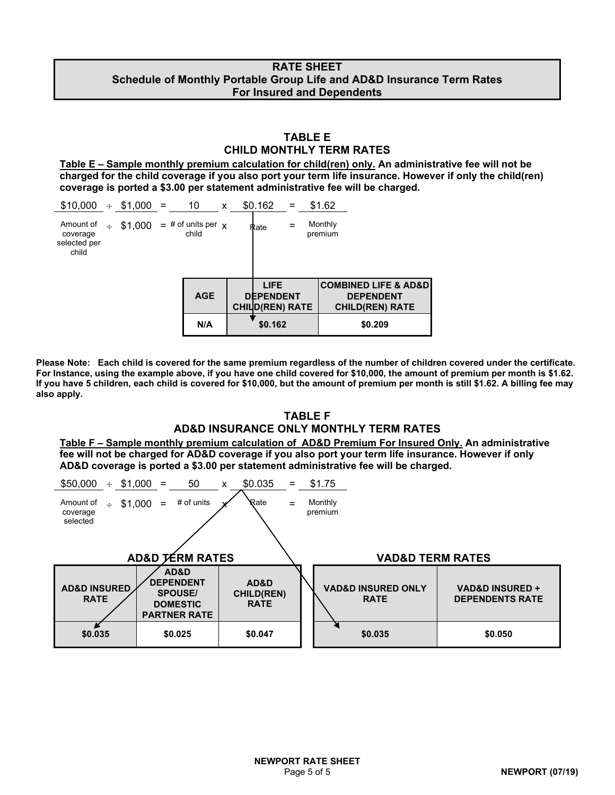### **RATE SHEET Schedule of Monthly Portable Group Life and AD&D Insurance Term Rates For Insured and Dependents**

### **TABLE E CHILD MONTHLY TERM RATES**

**Table E – Sample monthly premium calculation for child(ren) only. An administrative fee will not be charged for the child coverage if you also port your term life insurance. However if only the child(ren) coverage is ported a \$3.00 per statement administrative fee will be charged.**

| $$10,000 \div $1,000 =$                        |        |         | 10                                 | X | \$0.162 | $=$                                                       | \$1.62             |                                                                                   |  |
|------------------------------------------------|--------|---------|------------------------------------|---|---------|-----------------------------------------------------------|--------------------|-----------------------------------------------------------------------------------|--|
| Amount of<br>coverage<br>selected per<br>child | $\div$ | \$1,000 | $=$ # of units per $\chi$<br>child |   | Rate    |                                                           | Monthly<br>premium |                                                                                   |  |
|                                                |        |         | <b>AGE</b>                         |   |         | <b>LIFE</b><br><b>DEPENDENT</b><br><b>CHILD(REN) RATE</b> |                    | <b>COMBINED LIFE &amp; AD&amp;D</b><br><b>DEPENDENT</b><br><b>CHILD(REN) RATE</b> |  |
|                                                |        |         | N/A                                |   |         | \$0.162                                                   |                    | \$0.209                                                                           |  |

**Please Note: Each child is covered for the same premium regardless of the number of children covered under the certificate. For Instance, using the example above, if you have one child covered for \$10,000, the amount of premium per month is \$1.62. If you have 5 children, each child is covered for \$10,000, but the amount of premium per month is still \$1.62. A billing fee may also apply.**

### **TABLE F AD&D INSURANCE ONLY MONTHLY TERM RATES**

**Table F – Sample monthly premium calculation of AD&D Premium For Insured Only. An administrative fee will not be charged for AD&D coverage if you also port your term life insurance. However if only AD&D coverage is ported a \$3.00 per statement administrative fee will be charged.**

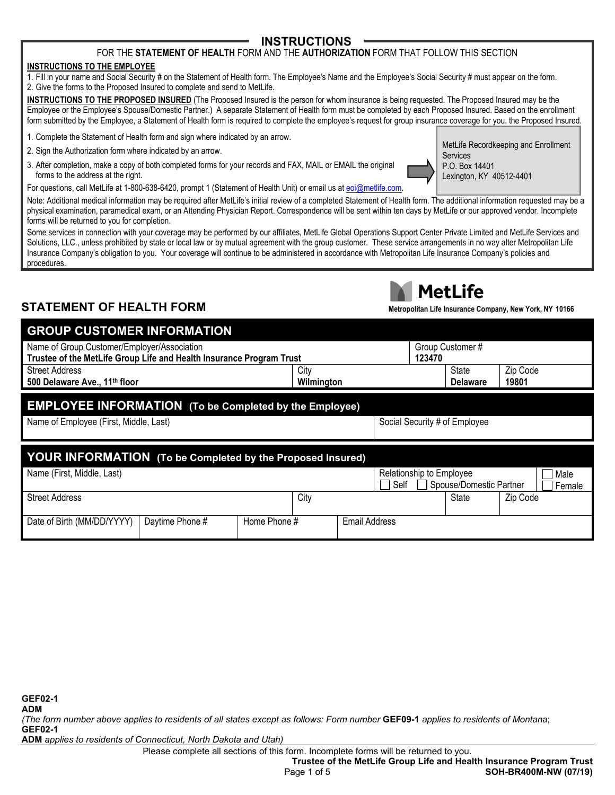## **INSTRUCTIONS**

### FOR THE **STATEMENT OF HEALTH** FORM AND THE **AUTHORIZATION** FORM THAT FOLLOW THIS SECTION

#### **INSTRUCTIONS TO THE EMPLOYEE**

1. Fill in your name and Social Security # on the Statement of Health form. The Employee's Name and the Employee's Social Security # must appear on the form. 2. Give the forms to the Proposed Insured to complete and send to MetLife.

**INSTRUCTIONS TO THE PROPOSED INSURED** (The Proposed Insured is the person for whom insurance is being requested. The Proposed Insured may be the Employee or the Employee's Spouse/Domestic Partner.) A separate Statement of Health form must be completed by each Proposed Insured. Based on the enrollment form submitted by the Employee, a Statement of Health form is required to complete the employee's request for group insurance coverage for you, the Proposed Insured.

- 1. Complete the Statement of Health form and sign where indicated by an arrow.
- 2. Sign the Authorization form where indicated by an arrow.
- 3. After completion, make a copy of both completed forms for your records and FAX, MAIL or EMAIL the original forms to the address at the right.

MetLife Recordkeeping and Enrollment Services P.O. Box 14401 Lexington, KY 40512-4401

For questions, call MetLife at 1-800-638-6420, prompt 1 (Statement of Health Unit) or email us at [eoi@metlife.com.](mailto:eoi@metlife.com)

Note: Additional medical information may be required after MetLife's initial review of a completed Statement of Health form. The additional information requested may be a physical examination, paramedical exam, or an Attending Physician Report. Correspondence will be sent within ten days by MetLife or our approved vendor. Incomplete forms will be returned to you for completion.

Some services in connection with your coverage may be performed by our affiliates, MetLife Global Operations Support Center Private Limited and MetLife Services and Solutions, LLC., unless prohibited by state or local law or by mutual agreement with the group customer. These service arrangements in no way alter Metropolitan Life Insurance Company's obligation to you. Your coverage will continue to be administered in accordance with Metropolitan Life Insurance Company's policies and procedures.

# **STATEMENT OF HEALTH FORM Metropolitan Life Insurance Company, New York, NY 10166**



| <b>GROUP CUSTOMER INFORMATION.</b>                                             |                  |                 |       |          |  |  |  |
|--------------------------------------------------------------------------------|------------------|-----------------|-------|----------|--|--|--|
| Name of Group Customer/Employer/Association                                    | Group Customer # |                 |       |          |  |  |  |
| Trustee of the MetLife Group Life and Health Insurance Program Trust<br>123470 |                  |                 |       |          |  |  |  |
| <b>Street Address</b>                                                          | City             |                 | State | Zip Code |  |  |  |
| 500 Delaware Ave., 11 <sup>th</sup> floor                                      |                  | <b>Delaware</b> | 19801 |          |  |  |  |
|                                                                                |                  |                 |       |          |  |  |  |
| <b>EMBLOVEE INFORMATION</b> (To be Completed by the Employee)                  |                  |                 |       |          |  |  |  |

## **EMPLOYEE INFORMATION (To be Completed by the Employee)**

Name of Employee (First, Middle, Last) Social Security # of Employee Social Security # of Employee

| YOUR INFORMATION (To be Completed by the Proposed Insured) |                 |              |      |               |                          |  |                         |          |        |
|------------------------------------------------------------|-----------------|--------------|------|---------------|--------------------------|--|-------------------------|----------|--------|
| Name (First, Middle, Last)                                 |                 |              |      |               | Relationship to Employee |  |                         |          | Male   |
|                                                            |                 |              |      |               | Self                     |  | Spouse/Domestic Partner |          | Female |
| <b>Street Address</b>                                      |                 |              | City |               |                          |  | State                   | Zip Code |        |
|                                                            |                 |              |      |               |                          |  |                         |          |        |
| Date of Birth (MM/DD/YYYY)                                 | Daytime Phone # | Home Phone # |      | Email Address |                          |  |                         |          |        |

*(The form number above applies to residents of all states except as follows: Form number* **GEF09-1** *applies to residents of Montana*; **GEF02-1**

**ADM** *applies to residents of Connecticut, North Dakota and Utah)*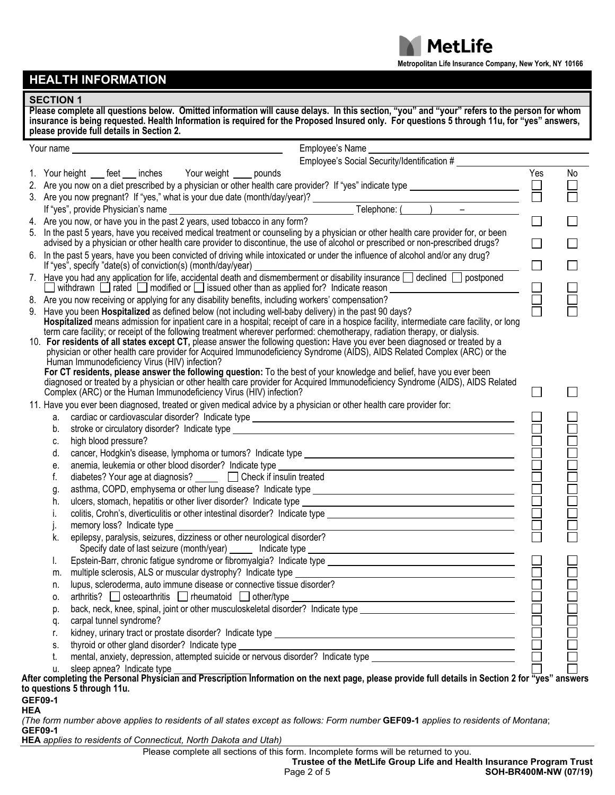**Metropolitan Life Insurance Company, New York, NY 10166**

**MetLife** 

# **HEALTH INFORMATION**

### **SECTION 1**

|    | Employee's Name<br>Employee's Social Security/Identification #                                                                                                                                                                                                                                                                                                                                                                                                                                                                                                                                                                                                                                   |             |    |
|----|--------------------------------------------------------------------------------------------------------------------------------------------------------------------------------------------------------------------------------------------------------------------------------------------------------------------------------------------------------------------------------------------------------------------------------------------------------------------------------------------------------------------------------------------------------------------------------------------------------------------------------------------------------------------------------------------------|-------------|----|
|    | 1. Your height ___ feet ___ inches Your weight ____ pounds                                                                                                                                                                                                                                                                                                                                                                                                                                                                                                                                                                                                                                       | Yes         | No |
|    |                                                                                                                                                                                                                                                                                                                                                                                                                                                                                                                                                                                                                                                                                                  |             |    |
|    |                                                                                                                                                                                                                                                                                                                                                                                                                                                                                                                                                                                                                                                                                                  |             |    |
|    |                                                                                                                                                                                                                                                                                                                                                                                                                                                                                                                                                                                                                                                                                                  |             |    |
|    |                                                                                                                                                                                                                                                                                                                                                                                                                                                                                                                                                                                                                                                                                                  | $\Box$      |    |
|    | 5. In the past 5 years, have you received medical treatment or counseling by a physician or other health care provider for, or been<br>advised by a physician or other health care provider to discontinue, the use of alcohol or prescribed or non-prescribed drugs?                                                                                                                                                                                                                                                                                                                                                                                                                            | П           |    |
|    | 6. In the past 5 years, have you been convicted of driving while intoxicated or under the influence of alcohol and/or any drug?<br>If "yes", specify "date(s) of conviction(s) (month/day/year)                                                                                                                                                                                                                                                                                                                                                                                                                                                                                                  |             |    |
|    | 7. Have you had any application for life, accidental death and dismemberment or disability insurance declined postponed<br>withdrawn $\Box$ rated $\Box$ modified or $\Box$ issued other than as applied for? Indicate reason $\Box$                                                                                                                                                                                                                                                                                                                                                                                                                                                             | 8<br>8<br>0 |    |
|    | 8. Are you now receiving or applying for any disability benefits, including workers' compensation?                                                                                                                                                                                                                                                                                                                                                                                                                                                                                                                                                                                               |             |    |
|    | 9. Have you been Hospitalized as defined below (not including well-baby delivery) in the past 90 days?<br>Hospitalized means admission for inpatient care in a hospital; receipt of care in a hospice facility, intermediate care facility, or long<br>term care facility; or receipt of the following treatment wherever performed: chemotherapy, radiation therapy, or dialysis.<br>10. For residents of all states except CT, please answer the following question: Have you ever been diagnosed or treated by a<br>physician or other health care provider for Acquired Immunodeficiency Syndrome (AIDS), AIDS Related Complex (ARC) or the<br>Human Immunodeficiency Virus (HIV) infection? |             |    |
|    | For CT residents, please answer the following question: To the best of your knowledge and belief, have you ever been<br>diagnosed or treated by a physician or other health care provider for Acquired Immunodeficiency Syndrome (AIDS), AIDS Related<br>Complex (ARC) or the Human Immunodeficiency Virus (HIV) infection?                                                                                                                                                                                                                                                                                                                                                                      |             |    |
|    | 11. Have you ever been diagnosed, treated or given medical advice by a physician or other health care provider for:                                                                                                                                                                                                                                                                                                                                                                                                                                                                                                                                                                              |             |    |
| а. |                                                                                                                                                                                                                                                                                                                                                                                                                                                                                                                                                                                                                                                                                                  |             |    |
| b. | stroke or circulatory disorder? Indicate type example and the stroke or circulatory disorder? Indicate type                                                                                                                                                                                                                                                                                                                                                                                                                                                                                                                                                                                      |             |    |
| C. | high blood pressure?                                                                                                                                                                                                                                                                                                                                                                                                                                                                                                                                                                                                                                                                             |             |    |
| d. |                                                                                                                                                                                                                                                                                                                                                                                                                                                                                                                                                                                                                                                                                                  |             |    |
| е. |                                                                                                                                                                                                                                                                                                                                                                                                                                                                                                                                                                                                                                                                                                  |             |    |
| f. | diabetes? Your age at diagnosis? <u>□</u> □ Check if insulin treated                                                                                                                                                                                                                                                                                                                                                                                                                                                                                                                                                                                                                             |             |    |
| g. |                                                                                                                                                                                                                                                                                                                                                                                                                                                                                                                                                                                                                                                                                                  |             |    |
| h. |                                                                                                                                                                                                                                                                                                                                                                                                                                                                                                                                                                                                                                                                                                  |             |    |
| i. |                                                                                                                                                                                                                                                                                                                                                                                                                                                                                                                                                                                                                                                                                                  |             |    |
| k. | memory loss? Indicate type<br><u> 1989 - Johann Barnett, fransk politiker (</u><br>epilepsy, paralysis, seizures, dizziness or other neurological disorder?<br>Specify date of last seizure (month/year) ______ Indicate type                                                                                                                                                                                                                                                                                                                                                                                                                                                                    |             |    |
| I. |                                                                                                                                                                                                                                                                                                                                                                                                                                                                                                                                                                                                                                                                                                  |             |    |
| m. |                                                                                                                                                                                                                                                                                                                                                                                                                                                                                                                                                                                                                                                                                                  |             |    |
| n. |                                                                                                                                                                                                                                                                                                                                                                                                                                                                                                                                                                                                                                                                                                  |             |    |
| 0. |                                                                                                                                                                                                                                                                                                                                                                                                                                                                                                                                                                                                                                                                                                  |             |    |
| p. |                                                                                                                                                                                                                                                                                                                                                                                                                                                                                                                                                                                                                                                                                                  |             |    |
| q. |                                                                                                                                                                                                                                                                                                                                                                                                                                                                                                                                                                                                                                                                                                  |             |    |
| r. |                                                                                                                                                                                                                                                                                                                                                                                                                                                                                                                                                                                                                                                                                                  |             |    |
| S. |                                                                                                                                                                                                                                                                                                                                                                                                                                                                                                                                                                                                                                                                                                  |             |    |
| t. |                                                                                                                                                                                                                                                                                                                                                                                                                                                                                                                                                                                                                                                                                                  |             |    |
| u. | sleep apnea? Indicate type                                                                                                                                                                                                                                                                                                                                                                                                                                                                                                                                                                                                                                                                       |             |    |

**HEA**

*(The form number above applies to residents of all states except as follows: Form number* **GEF09-1** *applies to residents of Montana*; **GEF09-1**

**HEA** *applies to residents of Connecticut, North Dakota and Utah)*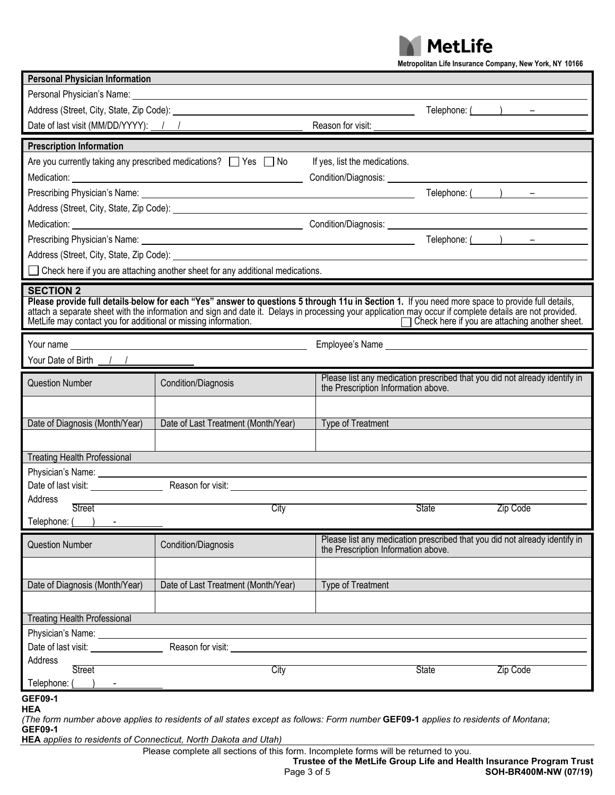**MetLife** 

**Metropolitan Life Insurance Company, New York, NY 10166**

| <b>Personal Physician Information</b>                                                                                                                                                                                      |                                     |                                                                                                                                                                                                                                |              |                        |  |  |  |  |
|----------------------------------------------------------------------------------------------------------------------------------------------------------------------------------------------------------------------------|-------------------------------------|--------------------------------------------------------------------------------------------------------------------------------------------------------------------------------------------------------------------------------|--------------|------------------------|--|--|--|--|
|                                                                                                                                                                                                                            |                                     |                                                                                                                                                                                                                                |              |                        |  |  |  |  |
|                                                                                                                                                                                                                            |                                     |                                                                                                                                                                                                                                |              | Telephone: $($ $)$ $-$ |  |  |  |  |
| Date of last visit (MM/DD/YYYY): 1 1                                                                                                                                                                                       |                                     | Reason for visit: _________                                                                                                                                                                                                    |              |                        |  |  |  |  |
| <b>Prescription Information</b>                                                                                                                                                                                            |                                     |                                                                                                                                                                                                                                |              |                        |  |  |  |  |
| Are you currently taking any prescribed medications? Thes Tho                                                                                                                                                              |                                     | If yes, list the medications.                                                                                                                                                                                                  |              |                        |  |  |  |  |
|                                                                                                                                                                                                                            |                                     |                                                                                                                                                                                                                                |              |                        |  |  |  |  |
|                                                                                                                                                                                                                            |                                     |                                                                                                                                                                                                                                |              |                        |  |  |  |  |
|                                                                                                                                                                                                                            |                                     |                                                                                                                                                                                                                                |              |                        |  |  |  |  |
|                                                                                                                                                                                                                            |                                     |                                                                                                                                                                                                                                |              |                        |  |  |  |  |
|                                                                                                                                                                                                                            |                                     |                                                                                                                                                                                                                                |              |                        |  |  |  |  |
| Address (Street, City, State, Zip Code):                                                                                                                                                                                   |                                     |                                                                                                                                                                                                                                |              |                        |  |  |  |  |
| Check here if you are attaching another sheet for any additional medications.                                                                                                                                              |                                     |                                                                                                                                                                                                                                |              |                        |  |  |  |  |
|                                                                                                                                                                                                                            |                                     |                                                                                                                                                                                                                                |              |                        |  |  |  |  |
| <b>SECTION 2</b><br>Please provide full details-below for each "Yes" answer to questions 5 through 11u in Section 1. If you need more space to provide full details,                                                       |                                     |                                                                                                                                                                                                                                |              |                        |  |  |  |  |
| attach a separate sheet with the information and sign and date it. Delays in processing your application may occur if complete details are not provided.<br>MetLife may contact you for additional or missing information. |                                     |                                                                                                                                                                                                                                |              |                        |  |  |  |  |
|                                                                                                                                                                                                                            |                                     | Check here if you are attaching another sheet.                                                                                                                                                                                 |              |                        |  |  |  |  |
|                                                                                                                                                                                                                            |                                     | Employee's Name experience and the state of the state of the state of the state of the state of the state of the state of the state of the state of the state of the state of the state of the state of the state of the state |              |                        |  |  |  |  |
| Your Date of Birth 11                                                                                                                                                                                                      |                                     |                                                                                                                                                                                                                                |              |                        |  |  |  |  |
| <b>Question Number</b><br>Condition/Diagnosis                                                                                                                                                                              |                                     | Please list any medication prescribed that you did not already identify in                                                                                                                                                     |              |                        |  |  |  |  |
|                                                                                                                                                                                                                            |                                     | the Prescription Information above.                                                                                                                                                                                            |              |                        |  |  |  |  |
|                                                                                                                                                                                                                            |                                     |                                                                                                                                                                                                                                |              |                        |  |  |  |  |
| Date of Diagnosis (Month/Year)                                                                                                                                                                                             | Date of Last Treatment (Month/Year) | <b>Type of Treatment</b>                                                                                                                                                                                                       |              |                        |  |  |  |  |
|                                                                                                                                                                                                                            |                                     |                                                                                                                                                                                                                                |              |                        |  |  |  |  |
| <b>Treating Health Professional</b>                                                                                                                                                                                        |                                     |                                                                                                                                                                                                                                |              |                        |  |  |  |  |
| Physician's Name: __________________                                                                                                                                                                                       |                                     |                                                                                                                                                                                                                                |              |                        |  |  |  |  |
| Date of last visit: _________________                                                                                                                                                                                      |                                     |                                                                                                                                                                                                                                |              |                        |  |  |  |  |
| Address<br>Street                                                                                                                                                                                                          | City                                |                                                                                                                                                                                                                                | <b>State</b> | <b>Zip Code</b>        |  |  |  |  |
| Telephone: ()                                                                                                                                                                                                              |                                     |                                                                                                                                                                                                                                |              |                        |  |  |  |  |
|                                                                                                                                                                                                                            |                                     | Please list any medication prescribed that you did not already identify in                                                                                                                                                     |              |                        |  |  |  |  |
| <b>Question Number</b><br>Condition/Diagnosis                                                                                                                                                                              |                                     | the Prescription Information above.                                                                                                                                                                                            |              |                        |  |  |  |  |
|                                                                                                                                                                                                                            |                                     |                                                                                                                                                                                                                                |              |                        |  |  |  |  |
| Date of Diagnosis (Month/Year)                                                                                                                                                                                             | Date of Last Treatment (Month/Year) | Type of Treatment                                                                                                                                                                                                              |              |                        |  |  |  |  |
|                                                                                                                                                                                                                            |                                     |                                                                                                                                                                                                                                |              |                        |  |  |  |  |
| <b>Treating Health Professional</b>                                                                                                                                                                                        |                                     |                                                                                                                                                                                                                                |              |                        |  |  |  |  |
| Physician's Name: Name:                                                                                                                                                                                                    |                                     |                                                                                                                                                                                                                                |              |                        |  |  |  |  |
| Date of last visit: <u>contract of</u> the state of last visit:                                                                                                                                                            |                                     | Reason for visit: Note that the state of the state of the state of the state of the state of the state of the state of the state of the state of the state of the state of the state of the state of the state of the state of |              |                        |  |  |  |  |
| Address                                                                                                                                                                                                                    |                                     |                                                                                                                                                                                                                                |              |                        |  |  |  |  |
| Street                                                                                                                                                                                                                     | City                                |                                                                                                                                                                                                                                | State        | Zip Code               |  |  |  |  |
| Telephone: (                                                                                                                                                                                                               |                                     |                                                                                                                                                                                                                                |              |                        |  |  |  |  |
| <b>GEF09-1</b><br><b>HEA</b>                                                                                                                                                                                               |                                     |                                                                                                                                                                                                                                |              |                        |  |  |  |  |
| (The form number above applies to residents of all states except as follows: Form number GEF09-1 applies to residents of Montana;<br><b>GEF09-1</b>                                                                        |                                     |                                                                                                                                                                                                                                |              |                        |  |  |  |  |

**HEA** *applies to residents of Connecticut, North Dakota and Utah)*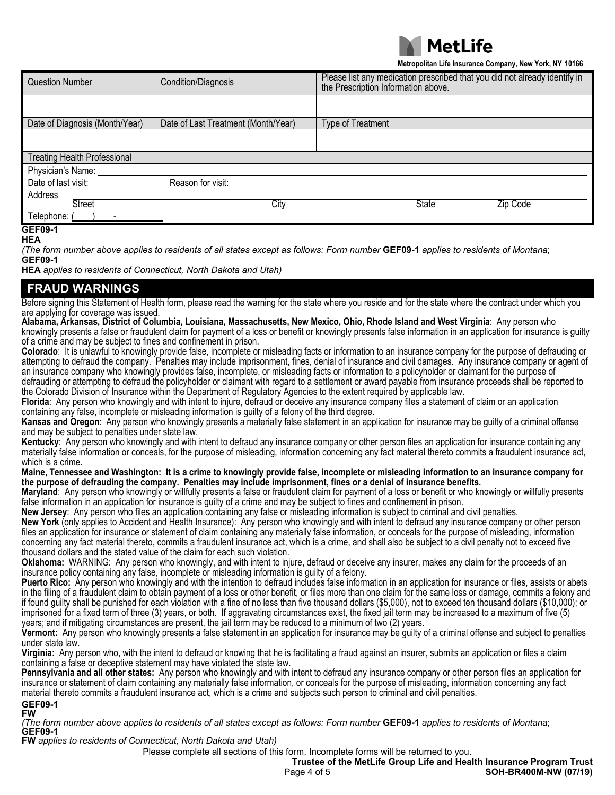

**Metropolitan Life Insurance Company, New York, NY 10166**

| <b>Question Number</b>              | Condition/Diagnosis                 | Please list any medication prescribed that you did not already identify in<br>the Prescription Information above. |
|-------------------------------------|-------------------------------------|-------------------------------------------------------------------------------------------------------------------|
|                                     |                                     |                                                                                                                   |
| Date of Diagnosis (Month/Year)      | Date of Last Treatment (Month/Year) | <b>Type of Treatment</b>                                                                                          |
|                                     |                                     |                                                                                                                   |
| <b>Treating Health Professional</b> |                                     |                                                                                                                   |
| Physician's Name:                   |                                     |                                                                                                                   |
| Date of last visit:                 | Reason for visit:                   |                                                                                                                   |
| Address                             |                                     |                                                                                                                   |
| <b>Street</b>                       | City                                | State<br>Zip Code                                                                                                 |
| Telephone:                          |                                     |                                                                                                                   |
| <b>GEF09-1</b>                      |                                     |                                                                                                                   |

**HEA**

*(The form number above applies to residents of all states except as follows: Form number* **GEF09-1** *applies to residents of Montana*; **GEF09-1**

**HEA** *applies to residents of Connecticut, North Dakota and Utah)*

### **FRAUD WARNINGS**

Before signing this Statement of Health form, please read the warning for the state where you reside and for the state where the contract under which you are applying for coverage was issued.

**Alabama, Arkansas, District of Columbia, Louisiana, Massachusetts, New Mexico, Ohio, Rhode Island and West Virginia**: Any person who knowingly presents a false or fraudulent claim for payment of a loss or benefit or knowingly presents false information in an application for insurance is guilty of a crime and may be subject to fines and confinement in prison.

**Colorado**: It is unlawful to knowingly provide false, incomplete or misleading facts or information to an insurance company for the purpose of defrauding or attempting to defraud the company. Penalties may include imprisonment, fines, denial of insurance and civil damages. Any insurance company or agent of an insurance company who knowingly provides false, incomplete, or misleading facts or information to a policyholder or claimant for the purpose of defrauding or attempting to defraud the policyholder or claimant with regard to a settlement or award payable from insurance proceeds shall be reported to

the Colorado Division of Insurance within the Department of Regulatory Agencies to the extent required by applicable law.

**Florida**: Any person who knowingly and with intent to injure, defraud or deceive any insurance company files a statement of claim or an application containing any false, incomplete or misleading information is guilty of a felony of the third degree.

**Kansas and Oregon**: Any person who knowingly presents a materially false statement in an application for insurance may be guilty of a criminal offense and may be subject to penalties under state law.

**Kentucky**: Any person who knowingly and with intent to defraud any insurance company or other person files an application for insurance containing any materially false information or conceals, for the purpose of misleading, information concerning any fact material thereto commits a fraudulent insurance act, which is a crime.

#### **Maine, Tennessee and Washington: It is a crime to knowingly provide false, incomplete or misleading information to an insurance company for the purpose of defrauding the company. Penalties may include imprisonment, fines or a denial of insurance benefits.**

**Maryland**: Any person who knowingly or willfully presents a false or fraudulent claim for payment of a loss or benefit or who knowingly or willfully presents false information in an application for insurance is guilty of a crime and may be subject to fines and confinement in prison.

**New Jersey**: Any person who files an application containing any false or misleading information is subject to criminal and civil penalties.

**New York** (only applies to Accident and Health Insurance): Any person who knowingly and with intent to defraud any insurance company or other person files an application for insurance or statement of claim containing any materially false information, or conceals for the purpose of misleading, information concerning any fact material thereto, commits a fraudulent insurance act, which is a crime, and shall also be subject to a civil penalty not to exceed five thousand dollars and the stated value of the claim for each such violation.

**Oklahoma:** WARNING: Any person who knowingly, and with intent to injure, defraud or deceive any insurer, makes any claim for the proceeds of an insurance policy containing any false, incomplete or misleading information is guilty of a felony.

**Puerto Rico:** Any person who knowingly and with the intention to defraud includes false information in an application for insurance or files, assists or abets in the filing of a fraudulent claim to obtain payment of a loss or other benefit, or files more than one claim for the same loss or damage, commits a felony and if found guilty shall be punished for each violation with a fine of no less than five thousand dollars (\$5,000), not to exceed ten thousand dollars (\$10,000); or imprisoned for a fixed term of three (3) years, or both. If aggravating circumstances exist, the fixed jail term may be increased to a maximum of five (5) years; and if mitigating circumstances are present, the jail term may be reduced to a minimum of two (2) years.

**Vermont:** Any person who knowingly presents a false statement in an application for insurance may be guilty of a criminal offense and subject to penalties under state law.

**Virginia:** Any person who, with the intent to defraud or knowing that he is facilitating a fraud against an insurer, submits an application or files a claim containing a false or deceptive statement may have violated the state law.

**GEF09-1 Pennsylvania and all other states:** Any person who knowingly and with intent to defraud any insurance company or other person files an application for insurance or statement of claim containing any materially false information, or conceals for the purpose of misleading, information concerning any fact material thereto commits a fraudulent insurance act, which is a crime and subjects such person to criminal and civil penalties.

**FW**

*(The form number above applies to residents of all states except as follows: Form number* **GEF09-1** *applies to residents of Montana*; **GEF09-1**

**FW** *applies to residents of Connecticut, North Dakota and Utah)*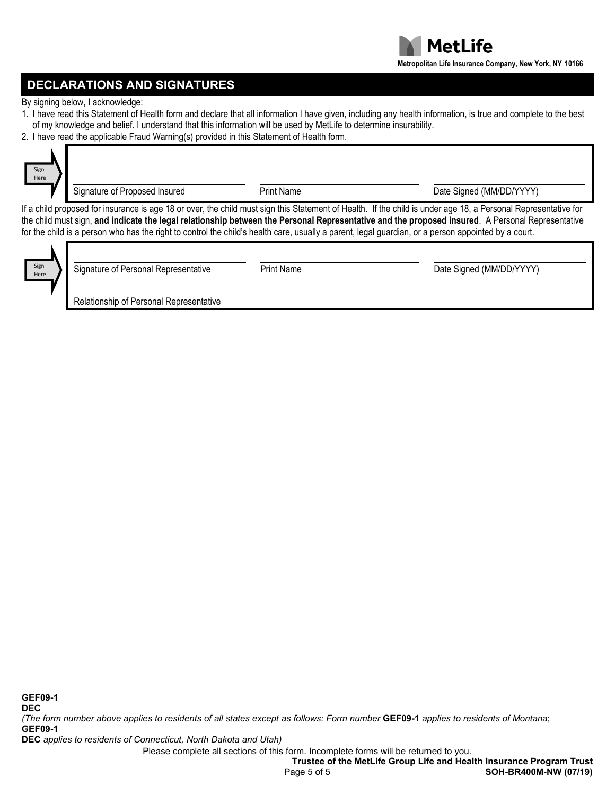# **DECLARATIONS AND SIGNATURES**

By signing below, I acknowledge:

- 1. I have read this Statement of Health form and declare that all information I have given, including any health information, is true and complete to the best of my knowledge and belief. I understand that this information will be used by MetLife to determine insurability.
- 2. I have read the applicable Fraud Warning(s) provided in this Statement of Health form.

| Sign<br>Here | Signature of Proposed Insured                                                                                                                                                                                                                                                                                                                                                                                                                                             | <b>Print Name</b> | Date Signed (MM/DD/YYYY) |  |  |  |  |  |
|--------------|---------------------------------------------------------------------------------------------------------------------------------------------------------------------------------------------------------------------------------------------------------------------------------------------------------------------------------------------------------------------------------------------------------------------------------------------------------------------------|-------------------|--------------------------|--|--|--|--|--|
|              | If a child proposed for insurance is age 18 or over, the child must sign this Statement of Health. If the child is under age 18, a Personal Representative for<br>the child must sign, and indicate the legal relationship between the Personal Representative and the proposed insured. A Personal Representative<br>for the child is a person who has the right to control the child's health care, usually a parent, legal guardian, or a person appointed by a court. |                   |                          |  |  |  |  |  |
| Sign<br>Here | Signature of Personal Representative                                                                                                                                                                                                                                                                                                                                                                                                                                      | <b>Print Name</b> | Date Signed (MM/DD/YYYY) |  |  |  |  |  |

Relationship of Personal Representative

*(The form number above applies to residents of all states except as follows: Form number* **GEF09-1** *applies to residents of Montana*; **GEF09-1**

**DEC** *applies to residents of Connecticut, North Dakota and Utah)*